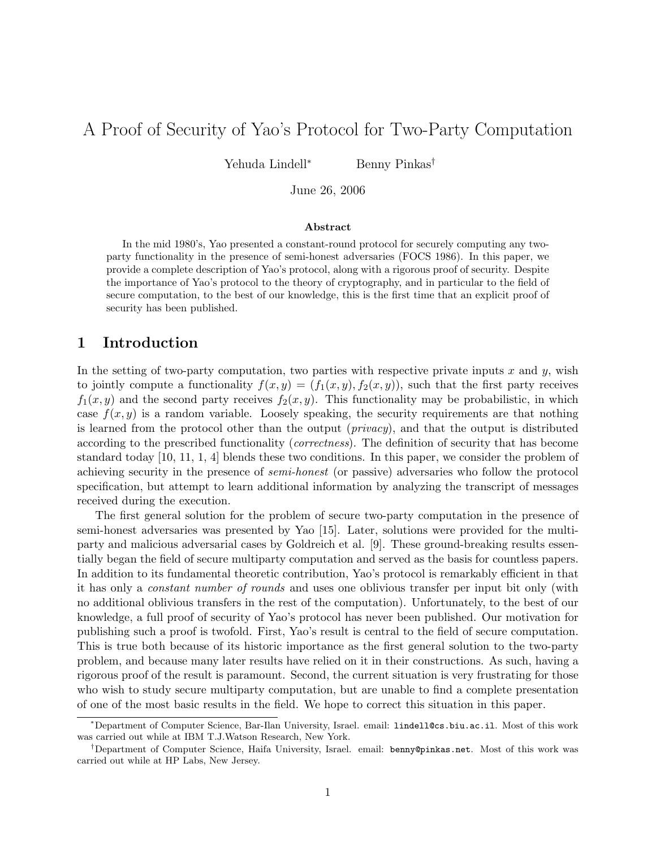# A Proof of Security of Yao's Protocol for Two-Party Computation

Yehuda Lindell<sup>∗</sup> Benny Pinkas<sup>†</sup>

June 26, 2006

#### Abstract

In the mid 1980's, Yao presented a constant-round protocol for securely computing any twoparty functionality in the presence of semi-honest adversaries (FOCS 1986). In this paper, we provide a complete description of Yao's protocol, along with a rigorous proof of security. Despite the importance of Yao's protocol to the theory of cryptography, and in particular to the field of secure computation, to the best of our knowledge, this is the first time that an explicit proof of security has been published.

### 1 Introduction

In the setting of two-party computation, two parties with respective private inputs  $x$  and  $y$ , wish to jointly compute a functionality  $f(x, y) = (f_1(x, y), f_2(x, y))$ , such that the first party receives  $f_1(x, y)$  and the second party receives  $f_2(x, y)$ . This functionality may be probabilistic, in which case  $f(x, y)$  is a random variable. Loosely speaking, the security requirements are that nothing is learned from the protocol other than the output (privacy), and that the output is distributed according to the prescribed functionality (correctness). The definition of security that has become standard today [10, 11, 1, 4] blends these two conditions. In this paper, we consider the problem of achieving security in the presence of semi-honest (or passive) adversaries who follow the protocol specification, but attempt to learn additional information by analyzing the transcript of messages received during the execution.

The first general solution for the problem of secure two-party computation in the presence of semi-honest adversaries was presented by Yao [15]. Later, solutions were provided for the multiparty and malicious adversarial cases by Goldreich et al. [9]. These ground-breaking results essentially began the field of secure multiparty computation and served as the basis for countless papers. In addition to its fundamental theoretic contribution, Yao's protocol is remarkably efficient in that it has only a constant number of rounds and uses one oblivious transfer per input bit only (with no additional oblivious transfers in the rest of the computation). Unfortunately, to the best of our knowledge, a full proof of security of Yao's protocol has never been published. Our motivation for publishing such a proof is twofold. First, Yao's result is central to the field of secure computation. This is true both because of its historic importance as the first general solution to the two-party problem, and because many later results have relied on it in their constructions. As such, having a rigorous proof of the result is paramount. Second, the current situation is very frustrating for those who wish to study secure multiparty computation, but are unable to find a complete presentation of one of the most basic results in the field. We hope to correct this situation in this paper.

<sup>∗</sup>Department of Computer Science, Bar-Ilan University, Israel. email: lindell@cs.biu.ac.il. Most of this work was carried out while at IBM T.J.Watson Research, New York.

<sup>†</sup>Department of Computer Science, Haifa University, Israel. email: benny@pinkas.net. Most of this work was carried out while at HP Labs, New Jersey.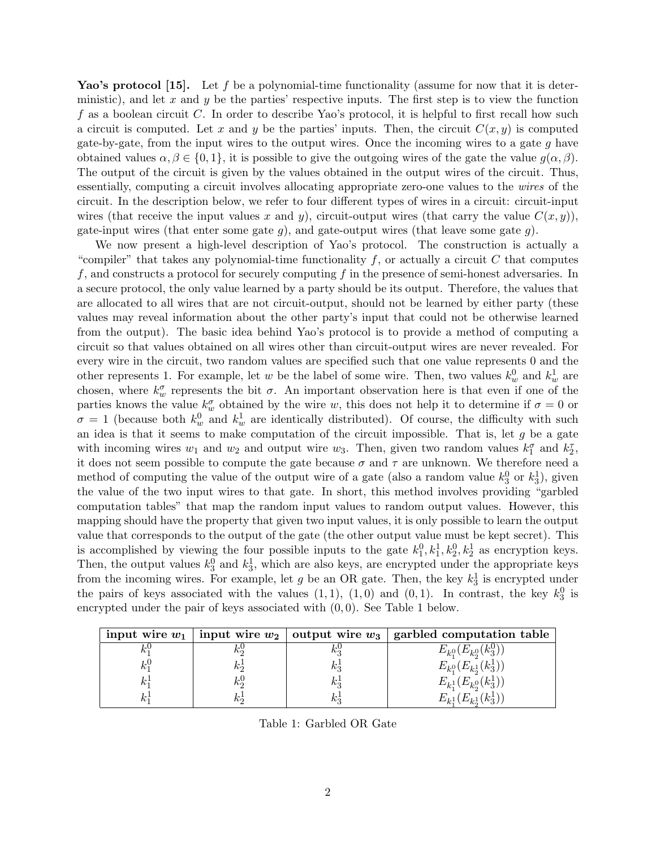Yao's protocol [15]. Let f be a polynomial-time functionality (assume for now that it is deterministic), and let  $x$  and  $y$  be the parties' respective inputs. The first step is to view the function f as a boolean circuit C. In order to describe Yao's protocol, it is helpful to first recall how such a circuit is computed. Let x and y be the parties' inputs. Then, the circuit  $C(x, y)$  is computed gate-by-gate, from the input wires to the output wires. Once the incoming wires to a gate  $g$  have obtained values  $\alpha, \beta \in \{0, 1\}$ , it is possible to give the outgoing wires of the gate the value  $g(\alpha, \beta)$ . The output of the circuit is given by the values obtained in the output wires of the circuit. Thus, essentially, computing a circuit involves allocating appropriate zero-one values to the wires of the circuit. In the description below, we refer to four different types of wires in a circuit: circuit-input wires (that receive the input values x and y), circuit-output wires (that carry the value  $C(x, y)$ ), gate-input wires (that enter some gate q), and gate-output wires (that leave some gate  $q$ ).

We now present a high-level description of Yao's protocol. The construction is actually a "compiler" that takes any polynomial-time functionality  $f$ , or actually a circuit  $C$  that computes f, and constructs a protocol for securely computing f in the presence of semi-honest adversaries. In a secure protocol, the only value learned by a party should be its output. Therefore, the values that are allocated to all wires that are not circuit-output, should not be learned by either party (these values may reveal information about the other party's input that could not be otherwise learned from the output). The basic idea behind Yao's protocol is to provide a method of computing a circuit so that values obtained on all wires other than circuit-output wires are never revealed. For every wire in the circuit, two random values are specified such that one value represents 0 and the other represents 1. For example, let w be the label of some wire. Then, two values  $k_w^0$  and  $k_w^1$  are chosen, where  $k_w^{\sigma}$  represents the bit  $\sigma$ . An important observation here is that even if one of the parties knows the value  $k_w^{\sigma}$  obtained by the wire w, this does not help it to determine if  $\sigma = 0$  or  $\sigma = 1$  (because both  $k_w^0$  and  $k_w^1$  are identically distributed). Of course, the difficulty with such an idea is that it seems to make computation of the circuit impossible. That is, let  $g$  be a gate with incoming wires  $w_1$  and  $w_2$  and output wire  $w_3$ . Then, given two random values  $k_1^{\sigma}$  and  $k_2^{\tau}$ , it does not seem possible to compute the gate because  $\sigma$  and  $\tau$  are unknown. We therefore need a method of computing the value of the output wire of a gate (also a random value  $k_3^0$  or  $k_3^1$ ), given the value of the two input wires to that gate. In short, this method involves providing "garbled computation tables" that map the random input values to random output values. However, this mapping should have the property that given two input values, it is only possible to learn the output value that corresponds to the output of the gate (the other output value must be kept secret). This is accomplished by viewing the four possible inputs to the gate  $k_1^0, k_1^1, k_2^0, k_2^1$  as encryption keys. Then, the output values  $k_3^0$  and  $k_3^1$ , which are also keys, are encrypted under the appropriate keys from the incoming wires. For example, let g be an OR gate. Then, the key  $k_3^1$  is encrypted under the pairs of keys associated with the values  $(1, 1)$ ,  $(1, 0)$  and  $(0, 1)$ . In contrast, the key  $k_3^0$  is encrypted under the pair of keys associated with  $(0, 0)$ . See Table 1 below.

| input wire $w_1$ |       |          | input wire $w_2$   output wire $w_3$   garbled computation table |
|------------------|-------|----------|------------------------------------------------------------------|
|                  |       |          | $E_{k_1^0}(E_{k_2^0}(k_3^0))$                                    |
|                  | $k_2$ | n.       | $E_{k_1^0}(E_{k_2^1}(k_3^1))$                                    |
|                  |       | νs       | $E_{k_1^1}(E_{k_2^0}(k_3^1))$                                    |
|                  |       | $\alpha$ |                                                                  |

Table 1: Garbled OR Gate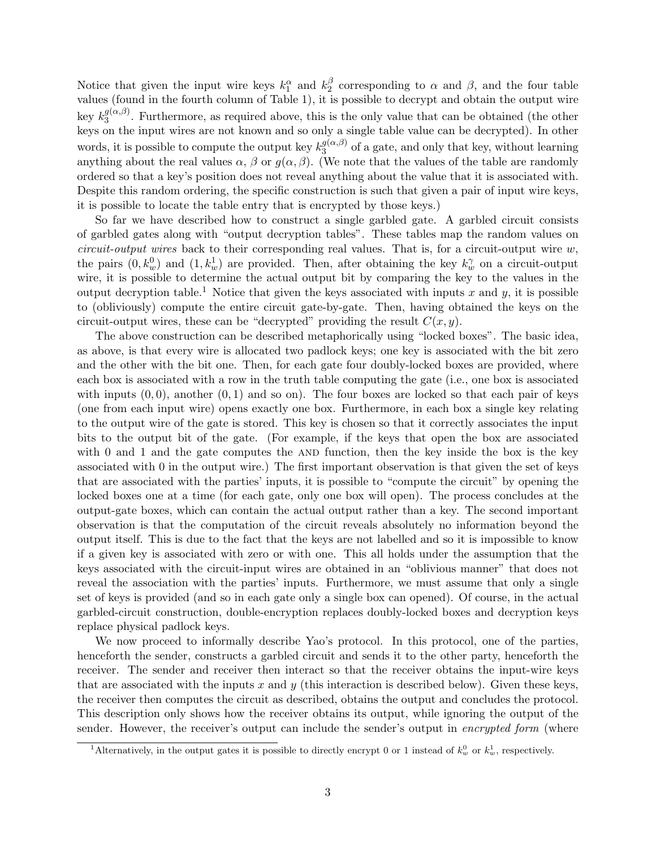Notice that given the input wire keys  $k_1^{\alpha}$  and  $k_2^{\beta}$  $\frac{\beta}{2}$  corresponding to α and β, and the four table values (found in the fourth column of Table 1), it is possible to decrypt and obtain the output wire key  $k_3^{g(\alpha,\beta)}$  $\frac{g(\alpha,\beta)}{3}$ . Furthermore, as required above, this is the only value that can be obtained (the other keys on the input wires are not known and so only a single table value can be decrypted). In other words, it is possible to compute the output key  $k_3^{g(\alpha,\beta)}$  $_{3}^{g(\alpha,\beta)}$  of a gate, and only that key, without learning anything about the real values  $\alpha$ ,  $\beta$  or  $g(\alpha, \beta)$ . (We note that the values of the table are randomly ordered so that a key's position does not reveal anything about the value that it is associated with. Despite this random ordering, the specific construction is such that given a pair of input wire keys, it is possible to locate the table entry that is encrypted by those keys.)

So far we have described how to construct a single garbled gate. A garbled circuit consists of garbled gates along with "output decryption tables". These tables map the random values on circuit-output wires back to their corresponding real values. That is, for a circuit-output wire  $w$ , the pairs  $(0, k_w^0)$  and  $(1, k_w^1)$  are provided. Then, after obtaining the key  $k_w^{\gamma}$  on a circuit-output wire, it is possible to determine the actual output bit by comparing the key to the values in the output decryption table.<sup>1</sup> Notice that given the keys associated with inputs x and y, it is possible to (obliviously) compute the entire circuit gate-by-gate. Then, having obtained the keys on the circuit-output wires, these can be "decrypted" providing the result  $C(x, y)$ .

The above construction can be described metaphorically using "locked boxes". The basic idea, as above, is that every wire is allocated two padlock keys; one key is associated with the bit zero and the other with the bit one. Then, for each gate four doubly-locked boxes are provided, where each box is associated with a row in the truth table computing the gate (i.e., one box is associated with inputs  $(0, 0)$ , another  $(0, 1)$  and so on). The four boxes are locked so that each pair of keys (one from each input wire) opens exactly one box. Furthermore, in each box a single key relating to the output wire of the gate is stored. This key is chosen so that it correctly associates the input bits to the output bit of the gate. (For example, if the keys that open the box are associated with 0 and 1 and the gate computes the AND function, then the key inside the box is the key associated with 0 in the output wire.) The first important observation is that given the set of keys that are associated with the parties' inputs, it is possible to "compute the circuit" by opening the locked boxes one at a time (for each gate, only one box will open). The process concludes at the output-gate boxes, which can contain the actual output rather than a key. The second important observation is that the computation of the circuit reveals absolutely no information beyond the output itself. This is due to the fact that the keys are not labelled and so it is impossible to know if a given key is associated with zero or with one. This all holds under the assumption that the keys associated with the circuit-input wires are obtained in an "oblivious manner" that does not reveal the association with the parties' inputs. Furthermore, we must assume that only a single set of keys is provided (and so in each gate only a single box can opened). Of course, in the actual garbled-circuit construction, double-encryption replaces doubly-locked boxes and decryption keys replace physical padlock keys.

We now proceed to informally describe Yao's protocol. In this protocol, one of the parties, henceforth the sender, constructs a garbled circuit and sends it to the other party, henceforth the receiver. The sender and receiver then interact so that the receiver obtains the input-wire keys that are associated with the inputs x and y (this interaction is described below). Given these keys, the receiver then computes the circuit as described, obtains the output and concludes the protocol. This description only shows how the receiver obtains its output, while ignoring the output of the sender. However, the receiver's output can include the sender's output in *encrypted form* (where

<sup>&</sup>lt;sup>1</sup>Alternatively, in the output gates it is possible to directly encrypt 0 or 1 instead of  $k_w^0$  or  $k_w^1$ , respectively.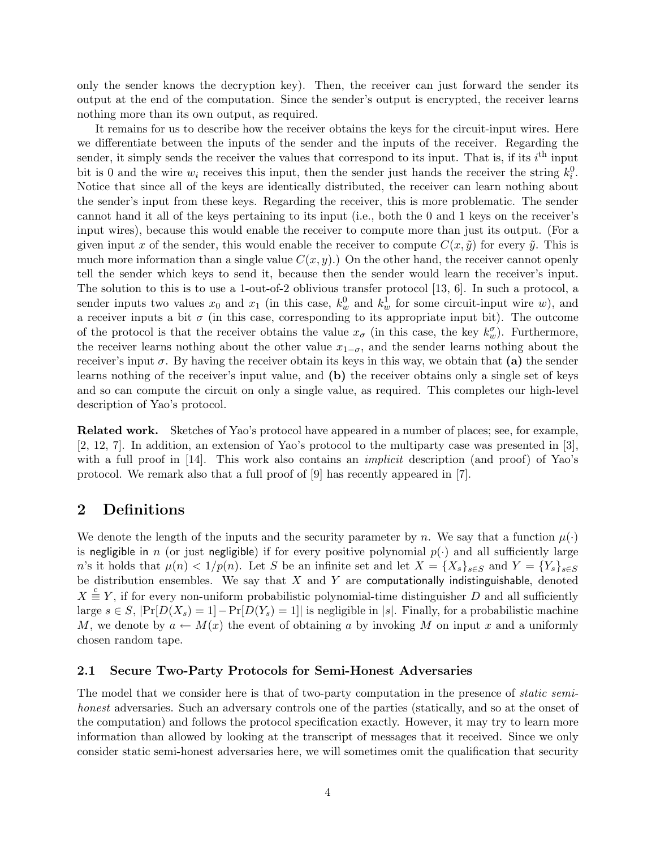only the sender knows the decryption key). Then, the receiver can just forward the sender its output at the end of the computation. Since the sender's output is encrypted, the receiver learns nothing more than its own output, as required.

It remains for us to describe how the receiver obtains the keys for the circuit-input wires. Here we differentiate between the inputs of the sender and the inputs of the receiver. Regarding the sender, it simply sends the receiver the values that correspond to its input. That is, if its  $i^{\text{th}}$  input bit is 0 and the wire  $w_i$  receives this input, then the sender just hands the receiver the string  $k_i^0$ . Notice that since all of the keys are identically distributed, the receiver can learn nothing about the sender's input from these keys. Regarding the receiver, this is more problematic. The sender cannot hand it all of the keys pertaining to its input (i.e., both the 0 and 1 keys on the receiver's input wires), because this would enable the receiver to compute more than just its output. (For a given input x of the sender, this would enable the receiver to compute  $C(x, \tilde{y})$  for every  $\tilde{y}$ . This is much more information than a single value  $C(x, y)$ .) On the other hand, the receiver cannot openly tell the sender which keys to send it, because then the sender would learn the receiver's input. The solution to this is to use a 1-out-of-2 oblivious transfer protocol [13, 6]. In such a protocol, a sender inputs two values  $x_0$  and  $x_1$  (in this case,  $k_w^0$  and  $k_w^1$  for some circuit-input wire w), and a receiver inputs a bit  $\sigma$  (in this case, corresponding to its appropriate input bit). The outcome of the protocol is that the receiver obtains the value  $x_{\sigma}$  (in this case, the key  $k_{w}^{\sigma}$ ). Furthermore, the receiver learns nothing about the other value  $x_{1-<sub>σ</sub>}$ , and the sender learns nothing about the receiver's input  $\sigma$ . By having the receiver obtain its keys in this way, we obtain that (a) the sender learns nothing of the receiver's input value, and (b) the receiver obtains only a single set of keys and so can compute the circuit on only a single value, as required. This completes our high-level description of Yao's protocol.

Related work. Sketches of Yao's protocol have appeared in a number of places; see, for example, [2, 12, 7]. In addition, an extension of Yao's protocol to the multiparty case was presented in [3], with a full proof in [14]. This work also contains an *implicit* description (and proof) of Yao's protocol. We remark also that a full proof of [9] has recently appeared in [7].

### 2 Definitions

We denote the length of the inputs and the security parameter by n. We say that a function  $\mu(\cdot)$ is negligible in n (or just negligible) if for every positive polynomial  $p(\cdot)$  and all sufficiently large n's it holds that  $\mu(n) < 1/p(n)$ . Let S be an infinite set and let  $X = \{X_s\}_{s \in S}$  and  $Y = \{Y_s\}_{s \in S}$ be distribution ensembles. We say that  $X$  and  $Y$  are computationally indistinguishable, denoted  $X \stackrel{c}{\equiv} Y$ , if for every non-uniform probabilistic polynomial-time distinguisher D and all sufficiently large  $s \in S$ ,  $|\Pr[D(X_s) = 1] - \Pr[D(Y_s) = 1]|$  is negligible in |s|. Finally, for a probabilistic machine M, we denote by  $a \leftarrow M(x)$  the event of obtaining a by invoking M on input x and a uniformly chosen random tape.

#### 2.1 Secure Two-Party Protocols for Semi-Honest Adversaries

The model that we consider here is that of two-party computation in the presence of *static semi*honest adversaries. Such an adversary controls one of the parties (statically, and so at the onset of the computation) and follows the protocol specification exactly. However, it may try to learn more information than allowed by looking at the transcript of messages that it received. Since we only consider static semi-honest adversaries here, we will sometimes omit the qualification that security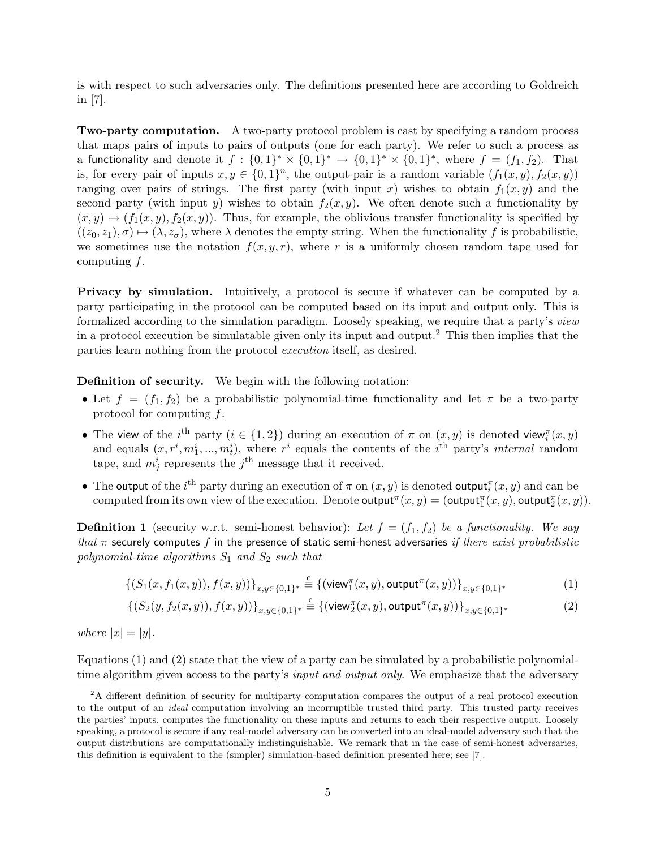is with respect to such adversaries only. The definitions presented here are according to Goldreich in [7].

Two-party computation. A two-party protocol problem is cast by specifying a random process that maps pairs of inputs to pairs of outputs (one for each party). We refer to such a process as a functionality and denote it  $f: \{0,1\}^* \times \{0,1\}^* \to \{0,1\}^* \times \{0,1\}^*$ , where  $f = (f_1, f_2)$ . That is, for every pair of inputs  $x, y \in \{0, 1\}^n$ , the output-pair is a random variable  $(f_1(x, y), f_2(x, y))$ ranging over pairs of strings. The first party (with input x) wishes to obtain  $f_1(x, y)$  and the second party (with input y) wishes to obtain  $f_2(x, y)$ . We often denote such a functionality by  $(x, y) \mapsto (f_1(x, y), f_2(x, y))$ . Thus, for example, the oblivious transfer functionality is specified by  $((z_0, z_1), \sigma) \mapsto (\lambda, z_{\sigma})$ , where  $\lambda$  denotes the empty string. When the functionality f is probabilistic, we sometimes use the notation  $f(x, y, r)$ , where r is a uniformly chosen random tape used for computing  $f$ .

**Privacy by simulation.** Intuitively, a protocol is secure if whatever can be computed by a party participating in the protocol can be computed based on its input and output only. This is formalized according to the simulation paradigm. Loosely speaking, we require that a party's view in a protocol execution be simulatable given only its input and output.<sup>2</sup> This then implies that the parties learn nothing from the protocol execution itself, as desired.

Definition of security. We begin with the following notation:

- Let  $f = (f_1, f_2)$  be a probabilistic polynomial-time functionality and let  $\pi$  be a two-party protocol for computing f.
- The view of the i<sup>th</sup> party  $(i \in \{1,2\})$  during an execution of  $\pi$  on  $(x, y)$  is denoted view<sub>i</sub><sup> $\pi$ </sup> $(x, y)$ and equals  $(x, r^i, m_1^i, ..., m_t^i)$ , where  $r^i$  equals the contents of the *i*<sup>th</sup> party's *internal* random tape, and  $m_j^i$  represents the j<sup>th</sup> message that it received.
- The output of the  $i^{\text{th}}$  party during an execution of  $\pi$  on  $(x, y)$  is denoted output,  $\pi(x, y)$  and can be computed from its own view of the execution. Denote  $\text{output}^{\pi}(x, y) = (\text{output}_1^{\pi}(x, y), \text{output}_2^{\pi}(x, y)).$

**Definition 1** (security w.r.t. semi-honest behavior): Let  $f = (f_1, f_2)$  be a functionality. We say that  $\pi$  securely computes f in the presence of static semi-honest adversaries if there exist probabilistic polynomial-time algorithms  $S_1$  and  $S_2$  such that

$$
\{(S_1(x,f_1(x,y)),f(x,y))\}_{x,y\in\{0,1\}^*}\stackrel{\text{c}}{=} \{(\mathsf{view}_1^\pi(x,y),\mathsf{output}^\pi(x,y))\}_{x,y\in\{0,1\}^*}\tag{1}
$$

$$
\{(S_2(y, f_2(x, y)), f(x, y))\}_{x, y \in \{0, 1\}^*} \stackrel{\mathcal{C}}{=} \{(\mathsf{view}_2^{\pi}(x, y), \mathsf{output}^{\pi}(x, y))\}_{x, y \in \{0, 1\}^*}
$$
(2)

where  $|x| = |y|$ .

Equations (1) and (2) state that the view of a party can be simulated by a probabilistic polynomialtime algorithm given access to the party's *input and output only*. We emphasize that the adversary

<sup>&</sup>lt;sup>2</sup>A different definition of security for multiparty computation compares the output of a real protocol execution to the output of an ideal computation involving an incorruptible trusted third party. This trusted party receives the parties' inputs, computes the functionality on these inputs and returns to each their respective output. Loosely speaking, a protocol is secure if any real-model adversary can be converted into an ideal-model adversary such that the output distributions are computationally indistinguishable. We remark that in the case of semi-honest adversaries, this definition is equivalent to the (simpler) simulation-based definition presented here; see [7].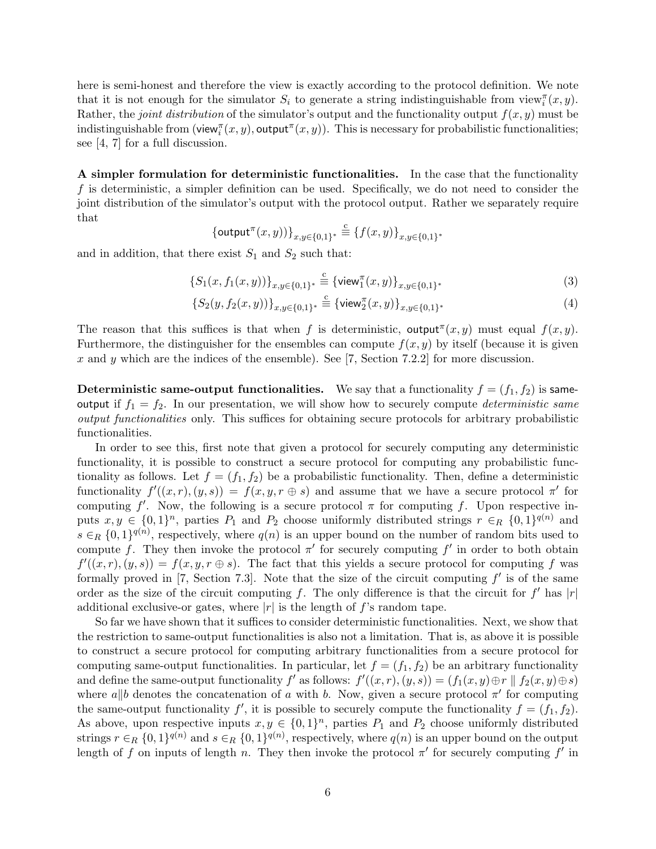here is semi-honest and therefore the view is exactly according to the protocol definition. We note that it is not enough for the simulator  $S_i$  to generate a string indistinguishable from view $_i^{\pi}(x, y)$ . Rather, the *joint distribution* of the simulator's output and the functionality output  $f(x, y)$  must be indistinguishable from (view $_i^{\pi}(x, y)$ , output $^{\pi}(x, y)$ ). This is necessary for probabilistic functionalities; see [4, 7] for a full discussion.

A simpler formulation for deterministic functionalities. In the case that the functionality f is deterministic, a simpler definition can be used. Specifically, we do not need to consider the joint distribution of the simulator's output with the protocol output. Rather we separately require that

 ${\{\textsf{output}}^\pi(x,y)\} _{x,y\in\{0,1\}^*}\stackrel{\text{c}}{=} {\{f(x,y)\} _{x,y\in\{0,1\}^*}}$ 

and in addition, that there exist  $S_1$  and  $S_2$  such that:

$$
\{S_1(x, f_1(x, y))\}_{x, y \in \{0,1\}^*} \stackrel{c}{\equiv} {\text{view}}_1^{\pi}(x, y)\}_{x, y \in \{0,1\}^*}
$$
 (3)

$$
\{S_2(y, f_2(x, y))\}_{x, y \in \{0, 1\}^*} \stackrel{c}{\equiv} {\text{view}}_2^{\pi}(x, y)\}_{x, y \in \{0, 1\}^*}
$$
 (4)

The reason that this suffices is that when f is deterministic, output  $\pi(x, y)$  must equal  $f(x, y)$ . Furthermore, the distinguisher for the ensembles can compute  $f(x, y)$  by itself (because it is given x and y which are the indices of the ensemble). See  $[7,$  Section 7.2.2 for more discussion.

**Deterministic same-output functionalities.** We say that a functionality  $f = (f_1, f_2)$  is sameoutput if  $f_1 = f_2$ . In our presentation, we will show how to securely compute *deterministic same* output functionalities only. This suffices for obtaining secure protocols for arbitrary probabilistic functionalities.

In order to see this, first note that given a protocol for securely computing any deterministic functionality, it is possible to construct a secure protocol for computing any probabilistic functionality as follows. Let  $f = (f_1, f_2)$  be a probabilistic functionality. Then, define a deterministic functionality  $f'(x, r), (y, s) = f(x, y, r \oplus s)$  and assume that we have a secure protocol  $\pi'$  for computing f'. Now, the following is a secure protocol  $\pi$  for computing f. Upon respective inputs  $x, y \in \{0, 1\}^n$ , parties  $P_1$  and  $P_2$  choose uniformly distributed strings  $r \in_R \{0, 1\}^{q(n)}$  and  $s \in_R \{0,1\}^{q(n)}$ , respectively, where  $q(n)$  is an upper bound on the number of random bits used to compute f. They then invoke the protocol  $\pi'$  for securely computing f' in order to both obtain  $f'((x,r),(y,s)) = f(x,y,r\oplus s)$ . The fact that this yields a secure protocol for computing f was formally proved in [7, Section 7.3]. Note that the size of the circuit computing  $f'$  is of the same order as the size of the circuit computing f. The only difference is that the circuit for  $f'$  has  $|r|$ additional exclusive-or gates, where  $|r|$  is the length of f's random tape.

So far we have shown that it suffices to consider deterministic functionalities. Next, we show that the restriction to same-output functionalities is also not a limitation. That is, as above it is possible to construct a secure protocol for computing arbitrary functionalities from a secure protocol for computing same-output functionalities. In particular, let  $f = (f_1, f_2)$  be an arbitrary functionality and define the same-output functionality  $f'$  as follows:  $f'((x,r),(y,s)) = (f_1(x,y) \oplus r \parallel f_2(x,y) \oplus s)$ where a||b denotes the concatenation of a with b. Now, given a secure protocol  $\pi'$  for computing the same-output functionality  $f'$ , it is possible to securely compute the functionality  $f = (f_1, f_2)$ . As above, upon respective inputs  $x, y \in \{0, 1\}^n$ , parties  $P_1$  and  $P_2$  choose uniformly distributed strings  $r \in_R \{0,1\}^{q(n)}$  and  $s \in_R \{0,1\}^{q(n)}$ , respectively, where  $q(n)$  is an upper bound on the output length of f on inputs of length n. They then invoke the protocol  $\pi'$  for securely computing f' in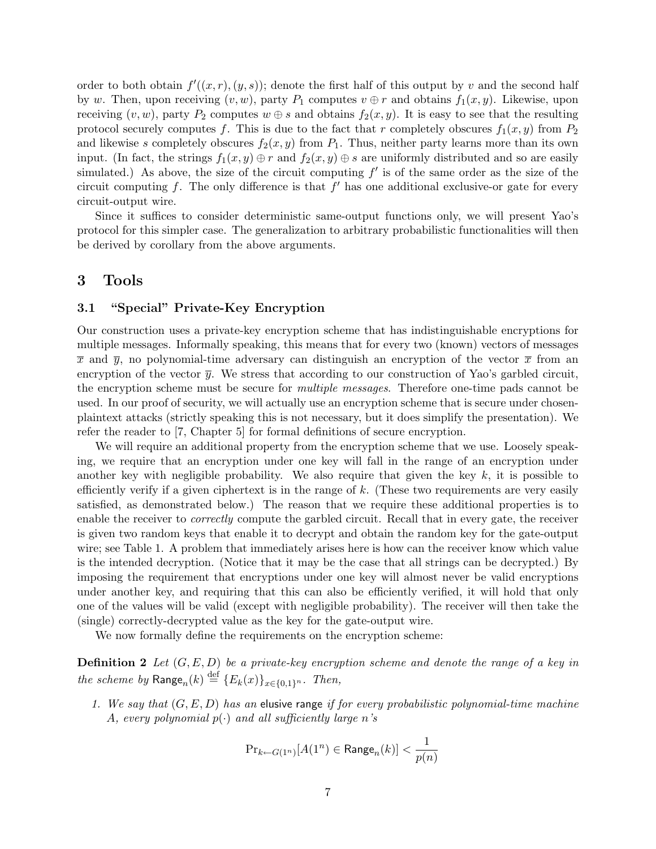order to both obtain  $f'((x, r), (y, s))$ ; denote the first half of this output by v and the second half by w. Then, upon receiving  $(v, w)$ , party  $P_1$  computes  $v \oplus r$  and obtains  $f_1(x, y)$ . Likewise, upon receiving  $(v, w)$ , party  $P_2$  computes  $w \oplus s$  and obtains  $f_2(x, y)$ . It is easy to see that the resulting protocol securely computes f. This is due to the fact that r completely obscures  $f_1(x, y)$  from  $P_2$ and likewise s completely obscures  $f_2(x, y)$  from  $P_1$ . Thus, neither party learns more than its own input. (In fact, the strings  $f_1(x, y) \oplus r$  and  $f_2(x, y) \oplus s$  are uniformly distributed and so are easily simulated.) As above, the size of the circuit computing  $f'$  is of the same order as the size of the circuit computing  $f$ . The only difference is that  $f'$  has one additional exclusive-or gate for every circuit-output wire.

Since it suffices to consider deterministic same-output functions only, we will present Yao's protocol for this simpler case. The generalization to arbitrary probabilistic functionalities will then be derived by corollary from the above arguments.

#### 3 Tools

#### 3.1 "Special" Private-Key Encryption

Our construction uses a private-key encryption scheme that has indistinguishable encryptions for multiple messages. Informally speaking, this means that for every two (known) vectors of messages  $\bar{x}$  and  $\bar{y}$ , no polynomial-time adversary can distinguish an encryption of the vector  $\bar{x}$  from an encryption of the vector  $\bar{y}$ . We stress that according to our construction of Yao's garbled circuit, the encryption scheme must be secure for multiple messages. Therefore one-time pads cannot be used. In our proof of security, we will actually use an encryption scheme that is secure under chosenplaintext attacks (strictly speaking this is not necessary, but it does simplify the presentation). We refer the reader to [7, Chapter 5] for formal definitions of secure encryption.

We will require an additional property from the encryption scheme that we use. Loosely speaking, we require that an encryption under one key will fall in the range of an encryption under another key with negligible probability. We also require that given the key  $k$ , it is possible to efficiently verify if a given ciphertext is in the range of  $k$ . (These two requirements are very easily satisfied, as demonstrated below.) The reason that we require these additional properties is to enable the receiver to *correctly* compute the garbled circuit. Recall that in every gate, the receiver is given two random keys that enable it to decrypt and obtain the random key for the gate-output wire; see Table 1. A problem that immediately arises here is how can the receiver know which value is the intended decryption. (Notice that it may be the case that all strings can be decrypted.) By imposing the requirement that encryptions under one key will almost never be valid encryptions under another key, and requiring that this can also be efficiently verified, it will hold that only one of the values will be valid (except with negligible probability). The receiver will then take the (single) correctly-decrypted value as the key for the gate-output wire.

We now formally define the requirements on the encryption scheme:

**Definition 2** Let  $(G, E, D)$  be a private-key encryption scheme and denote the range of a key in the scheme by  $\textsf{Range}_n(k) \stackrel{\text{def}}{=} \{E_k(x)\}_{x \in \{0,1\}^n}$ . Then,

1. We say that  $(G, E, D)$  has an elusive range if for every probabilistic polynomial-time machine A, every polynomial  $p(\cdot)$  and all sufficiently large n's

$$
\mathrm{Pr}_{k\leftarrow G(1^n)}[A(1^n)\in\mathsf{Range}_n(k)]<\frac{1}{p(n)}
$$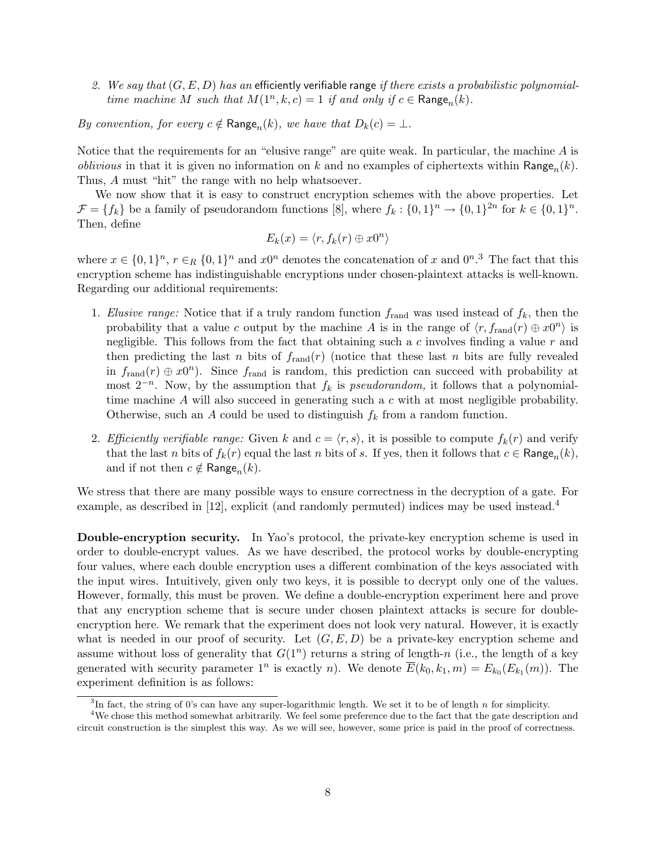2. We say that  $(G, E, D)$  has an efficiently verifiable range if there exists a probabilistic polynomialtime machine M such that  $M(1^n, k, c) = 1$  if and only if  $c \in \text{Range}_n(k)$ .

By convention, for every  $c \notin \text{Range}_n(k)$ , we have that  $D_k(c) = \bot$ .

Notice that the requirements for an "elusive range" are quite weak. In particular, the machine  $A$  is *oblivious* in that it is given no information on k and no examples of ciphertexts within  $\textsf{Range}_n(k)$ . Thus, A must "hit" the range with no help whatsoever.

We now show that it is easy to construct encryption schemes with the above properties. Let  $\mathcal{F} = \{f_k\}$  be a family of pseudorandom functions [8], where  $f_k: \{0,1\}^n \to \{0,1\}^{2n}$  for  $k \in \{0,1\}^n$ . Then, define

$$
E_k(x) = \langle r, f_k(r) \oplus x 0^n \rangle
$$

where  $x \in \{0,1\}^n$ ,  $r \in_R \{0,1\}^n$  and  $x0^n$  denotes the concatenation of x and  $0^n$ .<sup>3</sup> The fact that this encryption scheme has indistinguishable encryptions under chosen-plaintext attacks is well-known. Regarding our additional requirements:

- 1. Elusive range: Notice that if a truly random function  $f_{\text{rand}}$  was used instead of  $f_k$ , then the probability that a value c output by the machine A is in the range of  $\langle r, f_{\text{rand}}(r) \oplus x0^n \rangle$  is negligible. This follows from the fact that obtaining such a  $c$  involves finding a value  $r$  and then predicting the last n bits of  $f_{\text{rand}}(r)$  (notice that these last n bits are fully revealed in  $f_{\text{rand}}(r) \oplus x0^n$ ). Since  $f_{\text{rand}}$  is random, this prediction can succeed with probability at most  $2^{-n}$ . Now, by the assumption that  $f_k$  is *pseudorandom*, it follows that a polynomialtime machine  $A$  will also succeed in generating such a  $c$  with at most negligible probability. Otherwise, such an A could be used to distinguish  $f_k$  from a random function.
- 2. Efficiently verifiable range: Given k and  $c = \langle r, s \rangle$ , it is possible to compute  $f_k(r)$  and verify that the last n bits of  $f_k(r)$  equal the last n bits of s. If yes, then it follows that  $c \in \mathsf{Range}_n(k)$ , and if not then  $c \notin \mathsf{Range}_n(k)$ .

We stress that there are many possible ways to ensure correctness in the decryption of a gate. For example, as described in [12], explicit (and randomly permuted) indices may be used instead.<sup>4</sup>

Double-encryption security. In Yao's protocol, the private-key encryption scheme is used in order to double-encrypt values. As we have described, the protocol works by double-encrypting four values, where each double encryption uses a different combination of the keys associated with the input wires. Intuitively, given only two keys, it is possible to decrypt only one of the values. However, formally, this must be proven. We define a double-encryption experiment here and prove that any encryption scheme that is secure under chosen plaintext attacks is secure for doubleencryption here. We remark that the experiment does not look very natural. However, it is exactly what is needed in our proof of security. Let  $(G, E, D)$  be a private-key encryption scheme and assume without loss of generality that  $G(1^n)$  returns a string of length-n (i.e., the length of a key generated with security parameter  $1^n$  is exactly n). We denote  $\overline{E}(k_0, k_1, m) = E_{k_0}(E_{k_1}(m))$ . The experiment definition is as follows:

 ${}^{3}$ In fact, the string of 0's can have any super-logarithmic length. We set it to be of length n for simplicity.

<sup>&</sup>lt;sup>4</sup>We chose this method somewhat arbitrarily. We feel some preference due to the fact that the gate description and circuit construction is the simplest this way. As we will see, however, some price is paid in the proof of correctness.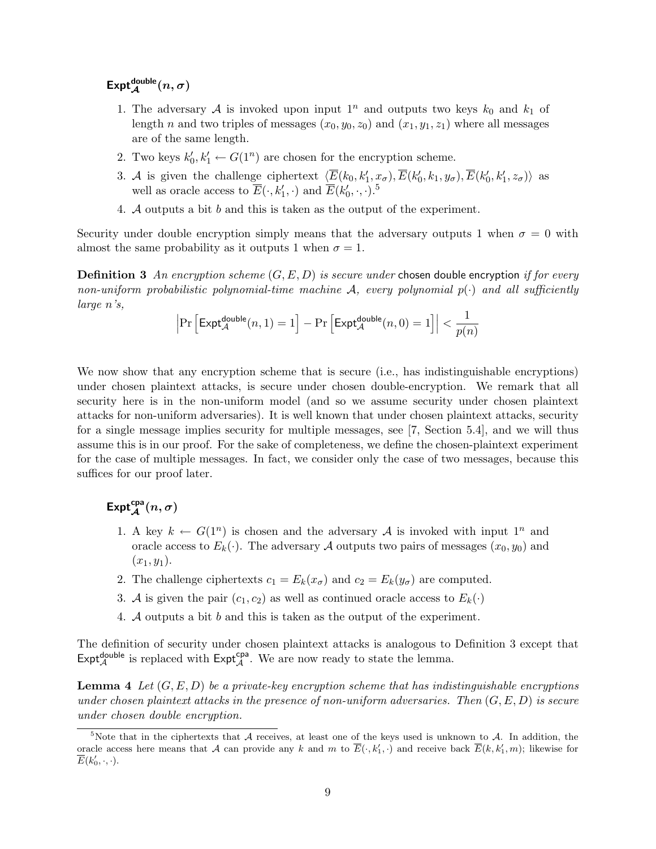# $\mathsf{Expt}^{\mathsf{double}}_{\mathcal{A}}(n, \sigma)$

- 1. The adversary A is invoked upon input  $1^n$  and outputs two keys  $k_0$  and  $k_1$  of length n and two triples of messages  $(x_0, y_0, z_0)$  and  $(x_1, y_1, z_1)$  where all messages are of the same length.
- 2. Two keys  $k'_0, k'_1 \leftarrow G(1^n)$  are chosen for the encryption scheme.
- 3. A is given the challenge ciphertext  $\langle \overline{E}(k_0, k_1', x_{\sigma}), \overline{E}(k_0', k_1, y_{\sigma}), \overline{E}(k_0', k_1', z_{\sigma}) \rangle$  as well as oracle access to  $\overline{E}(\cdot, k_1', \cdot)$  and  $\overline{E}(k_0', \cdot, \cdot).$ <sup>5</sup>
- 4. A outputs a bit b and this is taken as the output of the experiment.

Security under double encryption simply means that the adversary outputs 1 when  $\sigma = 0$  with almost the same probability as it outputs 1 when  $\sigma = 1$ .

**Definition 3** An encryption scheme  $(G, E, D)$  is secure under chosen double encryption if for every non-uniform probabilistic polynomial-time machine A, every polynomial  $p(\cdot)$  and all sufficiently large n's,

$$
\left|\Pr\left[\text{Expt}_{\mathcal{A}}^{\text{double}}(n,1)=1\right]-\Pr\left[\text{Expt}_{\mathcal{A}}^{\text{double}}(n,0)=1\right]\right|<\frac{1}{p(n)}
$$

We now show that any encryption scheme that is secure (i.e., has indistinguishable encryptions) under chosen plaintext attacks, is secure under chosen double-encryption. We remark that all security here is in the non-uniform model (and so we assume security under chosen plaintext attacks for non-uniform adversaries). It is well known that under chosen plaintext attacks, security for a single message implies security for multiple messages, see [7, Section 5.4], and we will thus assume this is in our proof. For the sake of completeness, we define the chosen-plaintext experiment for the case of multiple messages. In fact, we consider only the case of two messages, because this suffices for our proof later.

# $\mathsf{Expt}_{\mathcal{A}}^{\mathsf{cpa}}(n, \sigma)$

- 1. A key  $k \leftarrow G(1^n)$  is chosen and the adversary A is invoked with input  $1^n$  and oracle access to  $E_k(\cdot)$ . The adversary A outputs two pairs of messages  $(x_0, y_0)$  and  $(x_1, y_1).$
- 2. The challenge ciphertexts  $c_1 = E_k(x_\sigma)$  and  $c_2 = E_k(y_\sigma)$  are computed.
- 3. A is given the pair  $(c_1, c_2)$  as well as continued oracle access to  $E_k(\cdot)$
- 4. A outputs a bit b and this is taken as the output of the experiment.

The definition of security under chosen plaintext attacks is analogous to Definition 3 except that Expt<sup>double</sup> is replaced with Expt<sup>cpa</sup>. We are now ready to state the lemma.

**Lemma 4** Let  $(G, E, D)$  be a private-key encryption scheme that has indistinguishable encryptions under chosen plaintext attacks in the presence of non-uniform adversaries. Then  $(G, E, D)$  is secure under chosen double encryption.

<sup>&</sup>lt;sup>5</sup>Note that in the ciphertexts that  $A$  receives, at least one of the keys used is unknown to  $A$ . In addition, the oracle access here means that A can provide any k and m to  $\overline{E}(\cdot, k_1', \cdot)$  and receive back  $\overline{E}(k, k_1', m)$ ; likewise for  $\overline{E}(k_0', \cdot, \cdot).$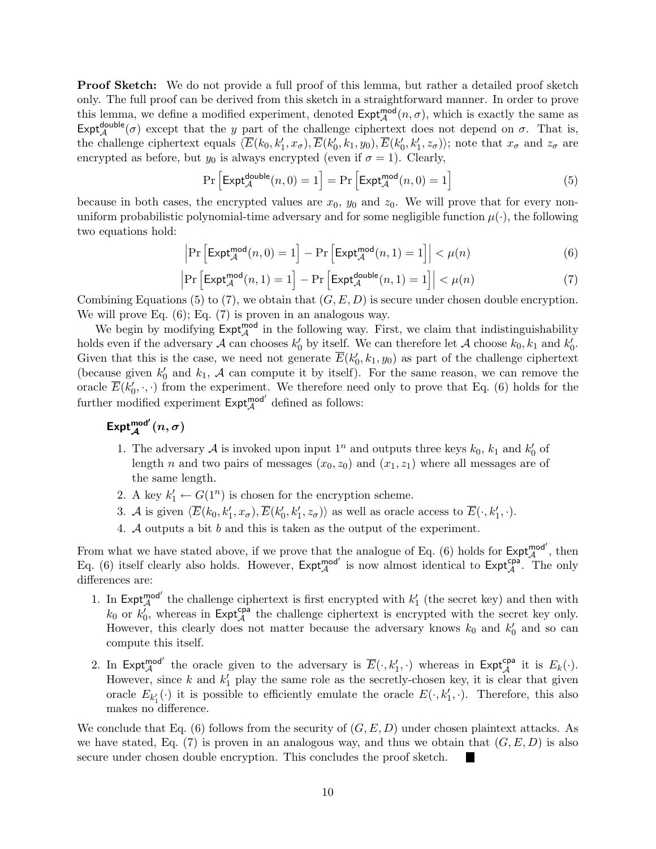**Proof Sketch:** We do not provide a full proof of this lemma, but rather a detailed proof sketch only. The full proof can be derived from this sketch in a straightforward manner. In order to prove this lemma, we define a modified experiment, denoted  $\textsf{Expt}_{\mathcal{A}}^{\textsf{mod}}(n, \sigma)$ , which is exactly the same as  $\text{Expt}_{\mathcal{A}}^{\text{double}}(\sigma)$  except that the y part of the challenge ciphertext does not depend on  $\sigma$ . That is, the challenge ciphertext equals  $\langle \overline{E}(k_0, k_1', x_{\sigma}), \overline{E}(k_0', k_1, y_0), \overline{E}(k_0', k_1', z_{\sigma}) \rangle$ ; note that  $x_{\sigma}$  and  $z_{\sigma}$  are encrypted as before, but  $y_0$  is always encrypted (even if  $\sigma = 1$ ). Clearly,

$$
\Pr\left[\text{Expt}_{\mathcal{A}}^{\text{double}}(n,0)=1\right]=\Pr\left[\text{Expt}_{\mathcal{A}}^{\text{mod}}(n,0)=1\right]
$$
\n(5)

because in both cases, the encrypted values are  $x_0$ ,  $y_0$  and  $z_0$ . We will prove that for every nonuniform probabilistic polynomial-time adversary and for some negligible function  $\mu(\cdot)$ , the following two equations hold:

$$
\left|\Pr\left[\text{Expt}_{\mathcal{A}}^{\text{mod}}(n,0)=1\right]-\Pr\left[\text{Expt}_{\mathcal{A}}^{\text{mod}}(n,1)=1\right]\right| < \mu(n)
$$
\n(6)

$$
\left| \Pr \left[ \text{Expt}_{\mathcal{A}}^{\text{mod}}(n, 1) = 1 \right] - \Pr \left[ \text{Expt}_{\mathcal{A}}^{\text{double}}(n, 1) = 1 \right] \right| < \mu(n) \tag{7}
$$

Combining Equations (5) to (7), we obtain that  $(G, E, D)$  is secure under chosen double encryption. We will prove Eq.  $(6)$ ; Eq.  $(7)$  is proven in an analogous way.

We begin by modifying  $\text{Expt}_{\mathcal{A}}^{\text{mod}}$  in the following way. First, we claim that indistinguishability holds even if the adversary A can chooses  $k'_0$  by itself. We can therefore let A choose  $k_0, k_1$  and  $k'_0$ . Given that this is the case, we need not generate  $\overline{E}(k'_0, k_1, y_0)$  as part of the challenge ciphertext (because given  $k'_0$  and  $k_1$ , A can compute it by itself). For the same reason, we can remove the oracle  $\overline{E}(k_0', \cdot, \cdot)$  from the experiment. We therefore need only to prove that Eq. (6) holds for the further modified experiment  $\text{Expt}_{\mathcal{A}}^{\text{mod}'}$  defined as follows:

# $\mathsf{Expt}_{\mathcal{A}}^{\mathsf{mod}'}(n,\sigma)$

- 1. The adversary A is invoked upon input  $1^n$  and outputs three keys  $k_0$ ,  $k_1$  and  $k'_0$  of length n and two pairs of messages  $(x_0, z_0)$  and  $(x_1, z_1)$  where all messages are of the same length.
- 2. A key  $k'_1 \leftarrow G(1^n)$  is chosen for the encryption scheme.
- 3. A is given  $\langle \overline{E}(k_0, k_1', x_{\sigma}), \overline{E}(k_0', k_1', z_{\sigma}) \rangle$  as well as oracle access to  $\overline{E}(\cdot, k_1', \cdot)$ .
- 4. A outputs a bit b and this is taken as the output of the experiment.

From what we have stated above, if we prove that the analogue of Eq. (6) holds for  $\text{Expt}_{\mathcal{A}}^{\text{mod}'}$ , then Eq. (6) itself clearly also holds. However,  $\text{Expt}_{\mathcal{A}}^{\text{mod}'}$  is now almost identical to  $\text{Expt}_{\mathcal{A}}^{\text{cpa}}$ . The only differences are:

- 1. In  $\text{Expt}_{\mathcal{A}}^{\text{mod}'}$  the challenge ciphertext is first encrypted with  $k_1'$  (the secret key) and then with  $k_0$  or  $k'_0$ , whereas in  $\text{Expt}_{\mathcal{A}}^{\text{cpa}}$  the challenge ciphertext is encrypted with the secret key only. However, this clearly does not matter because the adversary knows  $k_0$  and  $k'_0$  and so can compute this itself.
- 2. In Expt<sup>rod</sup> the oracle given to the adversary is  $\overline{E}(\cdot, k_1', \cdot)$  whereas in Expt<sup>cpa</sup> it is  $E_k(\cdot)$ . However, since k and  $k'_1$  play the same role as the secretly-chosen key, it is clear that given oracle  $E_{k_1'}(\cdot)$  it is possible to efficiently emulate the oracle  $E(\cdot, k_1', \cdot)$ . Therefore, this also makes no difference.

We conclude that Eq. (6) follows from the security of  $(G, E, D)$  under chosen plaintext attacks. As we have stated, Eq. (7) is proven in an analogous way, and thus we obtain that  $(G, E, D)$  is also secure under chosen double encryption. This concludes the proof sketch.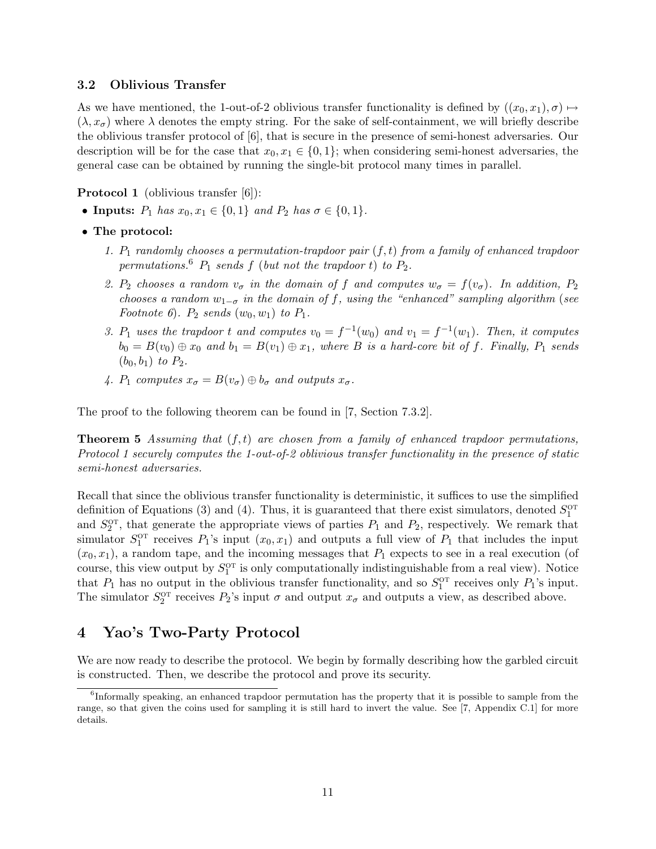#### 3.2 Oblivious Transfer

As we have mentioned, the 1-out-of-2 oblivious transfer functionality is defined by  $((x_0, x_1), \sigma) \mapsto$  $(\lambda, x_{\sigma})$  where  $\lambda$  denotes the empty string. For the sake of self-containment, we will briefly describe the oblivious transfer protocol of [6], that is secure in the presence of semi-honest adversaries. Our description will be for the case that  $x_0, x_1 \in \{0, 1\}$ ; when considering semi-honest adversaries, the general case can be obtained by running the single-bit protocol many times in parallel.

Protocol 1 (oblivious transfer [6]):

- Inputs:  $P_1$  has  $x_0, x_1 \in \{0, 1\}$  and  $P_2$  has  $\sigma \in \{0, 1\}$ .
- The protocol:
	- 1.  $P_1$  randomly chooses a permutation-trapdoor pair  $(f, t)$  from a family of enhanced trapdoor permutations.<sup>6</sup>  $P_1$  sends  $f$  (but not the trapdoor t) to  $P_2$ .
	- 2. P<sub>2</sub> chooses a random  $v_{\sigma}$  in the domain of f and computes  $w_{\sigma} = f(v_{\sigma})$ . In addition, P<sub>2</sub> chooses a random  $w_{1-\sigma}$  in the domain of f, using the "enhanced" sampling algorithm (see Footnote 6).  $P_2$  sends  $(w_0, w_1)$  to  $P_1$ .
	- 3.  $P_1$  uses the trapdoor t and computes  $v_0 = f^{-1}(w_0)$  and  $v_1 = f^{-1}(w_1)$ . Then, it computes  $b_0 = B(v_0) \oplus x_0$  and  $b_1 = B(v_1) \oplus x_1$ , where B is a hard-core bit of f. Finally,  $P_1$  sends  $(b_0, b_1)$  to  $P_2$ .
	- 4. P<sub>1</sub> computes  $x_{\sigma} = B(v_{\sigma}) \oplus b_{\sigma}$  and outputs  $x_{\sigma}$ .

The proof to the following theorem can be found in [7, Section 7.3.2].

**Theorem 5** Assuming that  $(f, t)$  are chosen from a family of enhanced trapdoor permutations, Protocol 1 securely computes the 1-out-of-2 oblivious transfer functionality in the presence of static semi-honest adversaries.

Recall that since the oblivious transfer functionality is deterministic, it suffices to use the simplified definition of Equations (3) and (4). Thus, it is guaranteed that there exist simulators, denoted  $S_1^{\text{or}}$ and  $S_2^{\text{OT}}$ , that generate the appropriate views of parties  $P_1$  and  $P_2$ , respectively. We remark that simulator  $S_1^{\text{OT}}$  receives  $P_1$ 's input  $(x_0, x_1)$  and outputs a full view of  $P_1$  that includes the input  $(x_0, x_1)$ , a random tape, and the incoming messages that  $P_1$  expects to see in a real execution (of course, this view output by  $S_1^{\text{OT}}$  is only computationally indistinguishable from a real view). Notice that  $P_1$  has no output in the oblivious transfer functionality, and so  $S_1^{\text{OT}}$  receives only  $P_1$ 's input. The simulator  $S_2^{\text{OT}}$  receives  $P_2$ 's input  $\sigma$  and output  $x_{\sigma}$  and outputs a view, as described above.

## 4 Yao's Two-Party Protocol

We are now ready to describe the protocol. We begin by formally describing how the garbled circuit is constructed. Then, we describe the protocol and prove its security.

<sup>&</sup>lt;sup>6</sup>Informally speaking, an enhanced trapdoor permutation has the property that it is possible to sample from the range, so that given the coins used for sampling it is still hard to invert the value. See [7, Appendix C.1] for more details.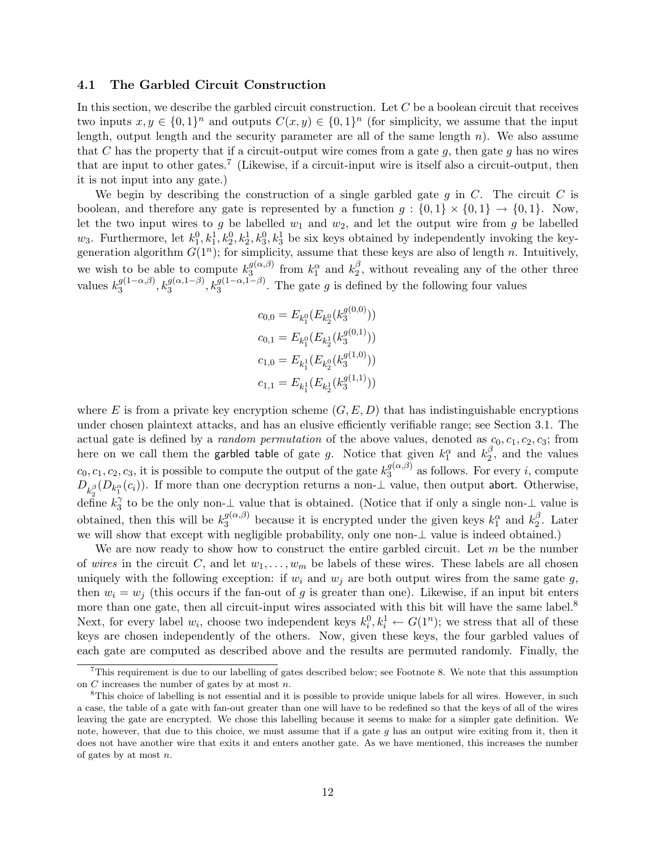#### 4.1 The Garbled Circuit Construction

In this section, we describe the garbled circuit construction. Let C be a boolean circuit that receives two inputs  $x, y \in \{0,1\}^n$  and outputs  $C(x, y) \in \{0,1\}^n$  (for simplicity, we assume that the input length, output length and the security parameter are all of the same length  $n$ ). We also assume that C has the property that if a circuit-output wire comes from a gate  $g$ , then gate  $g$  has no wires that are input to other gates.<sup>7</sup> (Likewise, if a circuit-input wire is itself also a circuit-output, then it is not input into any gate.)

We begin by describing the construction of a single garbled gate q in C. The circuit C is boolean, and therefore any gate is represented by a function  $g: \{0,1\} \times \{0,1\} \rightarrow \{0,1\}$ . Now, let the two input wires to g be labelled  $w_1$  and  $w_2$ , and let the output wire from g be labelled  $w_3$ . Furthermore, let  $k_1^0, k_1^1, k_2^0, k_3^1, k_3^0, k_3^1$  be six keys obtained by independently invoking the keygeneration algorithm  $G(1^n)$ ; for simplicity, assume that these keys are also of length n. Intuitively, we wish to be able to compute  $k_3^{g(\alpha,\beta)}$  $s^{g(\alpha,\beta)}$  from  $k_1^{\alpha}$  and  $k_2^{\beta}$  $2^{\beta}$ , without revealing any of the other three values  $k_3^{g(1-\alpha,\beta)}$  $s_3^{(1-\alpha,\beta)}, k_3^{(1-\alpha,1-\beta)}, k_3^{(1-\alpha,1-\beta)}$ . The gate g is defined by the following four values

$$
c_{0,0} = E_{k_1^0}(E_{k_2^0}(k_3^{g(0,0)}))
$$
  
\n
$$
c_{0,1} = E_{k_1^0}(E_{k_2^1}(k_3^{g(0,1)}))
$$
  
\n
$$
c_{1,0} = E_{k_1^1}(E_{k_2^0}(k_3^{g(1,0)}))
$$
  
\n
$$
c_{1,1} = E_{k_1^1}(E_{k_2^1}(k_3^{g(1,1)}))
$$

where E is from a private key encryption scheme  $(G, E, D)$  that has indistinguishable encryptions under chosen plaintext attacks, and has an elusive efficiently verifiable range; see Section 3.1. The actual gate is defined by a *random permutation* of the above values, denoted as  $c_0, c_1, c_2, c_3$ ; from here on we call them the garbled table of gate g. Notice that given  $k_1^{\alpha}$  and  $k_2^{\beta}$  $_2^{\beta}$ , and the values  $c_0, c_1, c_2, c_3$ , it is possible to compute the output of the gate  $k_3^{g(\alpha,\beta)}$  $_3^{\mathfrak{g}(\alpha,\beta)}$  as follows. For every *i*, compute  $D_{k_0^{\beta}}(D_{k_1^{\alpha}}(c_i))$ . If more than one decryption returns a non- $\perp$  value, then output abort. Otherwise,  $\det_{\mathbf{A}}$  $\frac{\gamma}{3}$  to be the only non- $\perp$  value that is obtained. (Notice that if only a single non- $\perp$  value is obtained, then this will be  $k_3^{g(\alpha,\beta)}$  because it is encrypted under the given keys  $k_1^{\alpha}$  and  $k_2^{\beta}$  $2^{\circ}$ . Later we will show that except with negligible probability, only one non-⊥ value is indeed obtained.)

We are now ready to show how to construct the entire garbled circuit. Let  $m$  be the number of wires in the circuit C, and let  $w_1, \ldots, w_m$  be labels of these wires. These labels are all chosen uniquely with the following exception: if  $w_i$  and  $w_j$  are both output wires from the same gate g, then  $w_i = w_j$  (this occurs if the fan-out of g is greater than one). Likewise, if an input bit enters more than one gate, then all circuit-input wires associated with this bit will have the same label.<sup>8</sup> Next, for every label  $w_i$ , choose two independent keys  $k_i^0, k_i^1 \leftarrow G(1^n)$ ; we stress that all of these keys are chosen independently of the others. Now, given these keys, the four garbled values of each gate are computed as described above and the results are permuted randomly. Finally, the

<sup>7</sup>This requirement is due to our labelling of gates described below; see Footnote 8. We note that this assumption on  $C$  increases the number of gates by at most  $n$ .

<sup>&</sup>lt;sup>8</sup>This choice of labelling is not essential and it is possible to provide unique labels for all wires. However, in such a case, the table of a gate with fan-out greater than one will have to be redefined so that the keys of all of the wires leaving the gate are encrypted. We chose this labelling because it seems to make for a simpler gate definition. We note, however, that due to this choice, we must assume that if a gate g has an output wire exiting from it, then it does not have another wire that exits it and enters another gate. As we have mentioned, this increases the number of gates by at most n.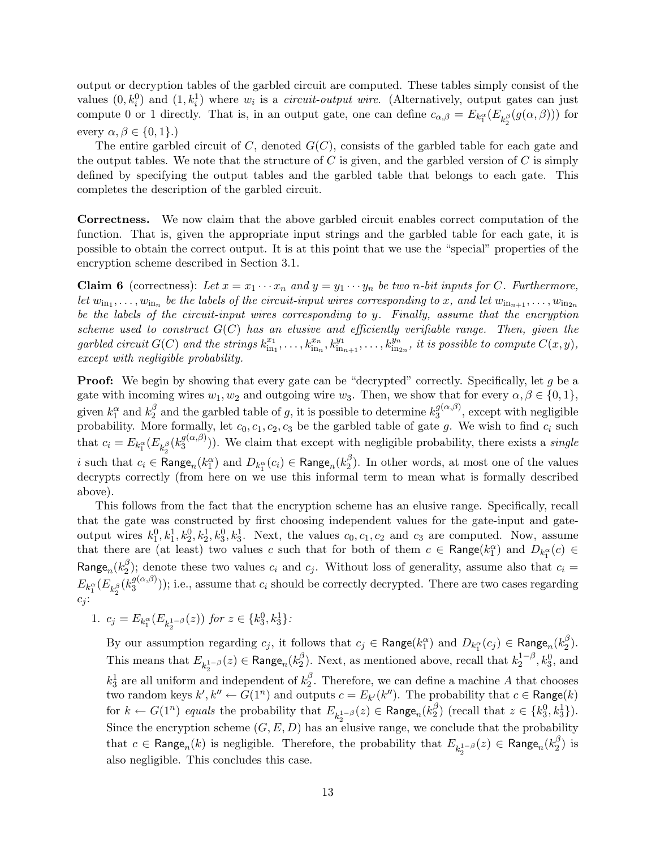output or decryption tables of the garbled circuit are computed. These tables simply consist of the values  $(0, k_i^0)$  and  $(1, k_i^1)$  where  $w_i$  is a *circuit-output wire*. (Alternatively, output gates can just compute 0 or 1 directly. That is, in an output gate, one can define  $c_{\alpha,\beta} = E_{k_1^{\alpha}}(E_{k_2^{\beta}}(g(\alpha,\beta)))$  for every  $\alpha, \beta \in \{0, 1\}$ .)

The entire garbled circuit of C, denoted  $G(C)$ , consists of the garbled table for each gate and the output tables. We note that the structure of C is given, and the garbled version of C is simply defined by specifying the output tables and the garbled table that belongs to each gate. This completes the description of the garbled circuit.

Correctness. We now claim that the above garbled circuit enables correct computation of the function. That is, given the appropriate input strings and the garbled table for each gate, it is possible to obtain the correct output. It is at this point that we use the "special" properties of the encryption scheme described in Section 3.1.

**Claim 6** (correctness): Let  $x = x_1 \cdots x_n$  and  $y = y_1 \cdots y_n$  be two n-bit inputs for C. Furthermore, Let  $w_{\text{in}_1}, \ldots, w_{\text{in}_n}$  be the labels of the circuit-input wires corresponding to x, and let  $w_{\text{in}_{n+1}}, \ldots, w_{\text{in}_{2n}}$ be the labels of the circuit-input wires corresponding to y. Finally, assume that the encryption scheme used to construct  $G(C)$  has an elusive and efficiently verifiable range. Then, given the garbled circuit  $G(C)$  and the strings  $k_{\text{in}}^{x_1}$  $\sum_{\text{in}_1}^{x_1}, \ldots, k_{\text{in}_n}^{x_n}, k_{\text{in}_{n+1}}^{y_1}, \ldots, k_{\text{in}_{2n}}^{y_n},$  it is possible to compute  $C(x, y)$ , except with negligible probability.

**Proof:** We begin by showing that every gate can be "decrypted" correctly. Specifically, let g be a gate with incoming wires  $w_1, w_2$  and outgoing wire  $w_3$ . Then, we show that for every  $\alpha, \beta \in \{0, 1\}$ , given  $k_1^{\alpha}$  and  $k_2^{\beta}$  $\frac{\beta}{2}$  and the garbled table of g, it is possible to determine  $k_3^{g(\alpha,\beta)}$  $_3^{\mathfrak{g}(\alpha,\beta)}$ , except with negligible probability. More formally, let  $c_0, c_1, c_2, c_3$  be the garbled table of gate g. We wish to find  $c_i$  such that  $c_i = E_{k_1^{\alpha}}(E_{k_2^{\beta}}(k_3^{g(\alpha,\beta)})$ *i* such that  $c_i \in \text{Range}_n(k_1^{\alpha})$  and  $D_{k_1^{\alpha}}(c_i) \in \text{Range}_n(k_2^{\beta})$  $\binom{g(\alpha,\beta)}{3}$ ). We claim that except with negligible probability, there exists a *single*  $2<sup>0</sup>$ ). In other words, at most one of the values decrypts correctly (from here on we use this informal term to mean what is formally described above).

This follows from the fact that the encryption scheme has an elusive range. Specifically, recall that the gate was constructed by first choosing independent values for the gate-input and gateoutput wires  $k_1^0, k_1^1, k_2^0, k_3^1, k_3^0, k_3^1$ . Next, the values  $c_0, c_1, c_2$  and  $c_3$  are computed. Now, assume that there are (at least) two values c such that for both of them  $c \in \text{Range}(k_1^{\alpha})$  and  $D_{k_1^{\alpha}}(c) \in$  $\mathsf{Range}_n(k_2^{\beta}$  $\binom{1}{2}$ ; denote these two values  $c_i$  and  $c_j$ . Without loss of generality, assume also that  $c_i =$  $E_{k_1^\alpha}(E_{k_2^\beta}(k_3^{g(\alpha,\beta)}$  $\binom{g(\alpha,\beta)}{3}$ ; i.e., assume that  $c_i$  should be correctly decrypted. There are two cases regarding  $c_j$ :

1.  $c_j = E_{k_1^{\alpha}}(E_{k_2^{1-\beta}}(z))$  for  $z \in \{k_3^0, k_3^1\}$ :

By our assumption regarding  $c_j$ , it follows that  $c_j\in \mathsf{Range}(k_1^{\alpha})$  and  $D_{k_1^{\alpha}}(c_j)\in \mathsf{Range}_n(k_2^{\beta})$  $\binom{p}{2}$ . This means that  $E_{k_2^{1-\beta}}(z)\in \mathsf{Range}_n(k_2^\beta)$ <sup> $\beta$ </sup><sub>2</sub>). Next, as mentioned above, recall that  $k_2^{1-\beta}$  $a_2^{1-\beta}, k_3^0$ , and  $k_3^1$  are all uniform and independent of  $k_2^{\beta}$  $2^{\beta}$ . Therefore, we can define a machine A that chooses two random keys  $k', k'' \leftarrow G(1^n)$  and outputs  $c = E_{k'}(k'')$ . The probability that  $c \in \mathsf{Range}(k)$ for  $k \leftarrow G(1^n)$  equals the probability that  $E_{k_2^{1-\beta}}(z) \in \mathsf{Range}_n(k_2^{\beta})$  $_{2}^{\beta}$  (recall that  $z \in \{k_{3}^{0}, k_{3}^{1}\}$ ). Since the encryption scheme  $(G, E, D)$  has an elusive range, we conclude that the probability that  $c \in \mathsf{Range}_n(k)$  is negligible. Therefore, the probability that  $E_{k_2^{1-\beta}}(z) \in \mathsf{Range}_n(k_2^{\beta})$  $_2^{\beta}$ ) is also negligible. This concludes this case.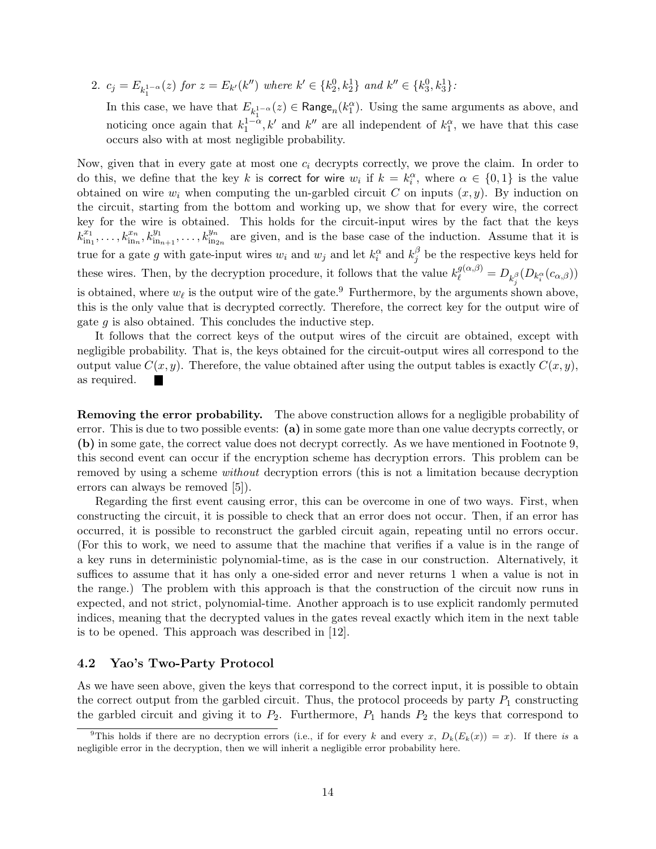2.  $c_j = E_{k_1^{1-\alpha}}(z)$  for  $z = E_{k'}(k'')$  where  $k' \in \{k_2^0, k_2^1\}$  and  $k'' \in \{k_3^0, k_3^1\}$ :

In this case, we have that  $E_{k_1-\alpha}(z) \in \mathsf{Range}_n(k_1^{\alpha})$ . Using the same arguments as above, and noticing once again that  $k_1^{1-\alpha}, k'$  and  $k''$  are all independent of  $k_1^{\alpha}$ , we have that this case occurs also with at most negligible probability.

Now, given that in every gate at most one  $c_i$  decrypts correctly, we prove the claim. In order to do this, we define that the key k is correct for wire  $w_i$  if  $k = k_i^{\alpha}$ , where  $\alpha \in \{0,1\}$  is the value obtained on wire  $w_i$  when computing the un-garbled circuit C on inputs  $(x, y)$ . By induction on the circuit, starting from the bottom and working up, we show that for every wire, the correct key for the wire is obtained. This holds for the circuit-input wires by the fact that the keys  $k_{\rm in}^{x_1}$  $\sum_{i=1}^{x_1} \ldots, k_{in}^{x_n}, k_{in_{n+1}}^{y_1}, \ldots, k_{in_{2n}}^{y_n}$  are given, and is the base case of the induction. Assume that it is true for a gate g with gate-input wires  $w_i$  and  $w_j$  and let  $k_i^{\alpha}$  and  $k_j^{\beta}$  $j$  be the respective keys held for these wires. Then, by the decryption procedure, it follows that the value  $k_{\ell}^{g(\alpha,\beta)} = D_{k_j^{\beta}}(D_{k_i^{\alpha}}(c_{\alpha,\beta}))$ is obtained, where  $w_{\ell}$  is the output wire of the gate.<sup>9</sup> Furthermore, by the arguments shown above, this is the only value that is decrypted correctly. Therefore, the correct key for the output wire of gate  $q$  is also obtained. This concludes the inductive step.

It follows that the correct keys of the output wires of the circuit are obtained, except with negligible probability. That is, the keys obtained for the circuit-output wires all correspond to the output value  $C(x, y)$ . Therefore, the value obtained after using the output tables is exactly  $C(x, y)$ , as required. **The Co** 

Removing the error probability. The above construction allows for a negligible probability of error. This is due to two possible events: (a) in some gate more than one value decrypts correctly, or (b) in some gate, the correct value does not decrypt correctly. As we have mentioned in Footnote 9, this second event can occur if the encryption scheme has decryption errors. This problem can be removed by using a scheme without decryption errors (this is not a limitation because decryption errors can always be removed [5]).

Regarding the first event causing error, this can be overcome in one of two ways. First, when constructing the circuit, it is possible to check that an error does not occur. Then, if an error has occurred, it is possible to reconstruct the garbled circuit again, repeating until no errors occur. (For this to work, we need to assume that the machine that verifies if a value is in the range of a key runs in deterministic polynomial-time, as is the case in our construction. Alternatively, it suffices to assume that it has only a one-sided error and never returns 1 when a value is not in the range.) The problem with this approach is that the construction of the circuit now runs in expected, and not strict, polynomial-time. Another approach is to use explicit randomly permuted indices, meaning that the decrypted values in the gates reveal exactly which item in the next table is to be opened. This approach was described in [12].

#### 4.2 Yao's Two-Party Protocol

As we have seen above, given the keys that correspond to the correct input, it is possible to obtain the correct output from the garbled circuit. Thus, the protocol proceeds by party  $P_1$  constructing the garbled circuit and giving it to  $P_2$ . Furthermore,  $P_1$  hands  $P_2$  the keys that correspond to

<sup>&</sup>lt;sup>9</sup>This holds if there are no decryption errors (i.e., if for every k and every x,  $D_k(E_k(x)) = x$ ). If there is a negligible error in the decryption, then we will inherit a negligible error probability here.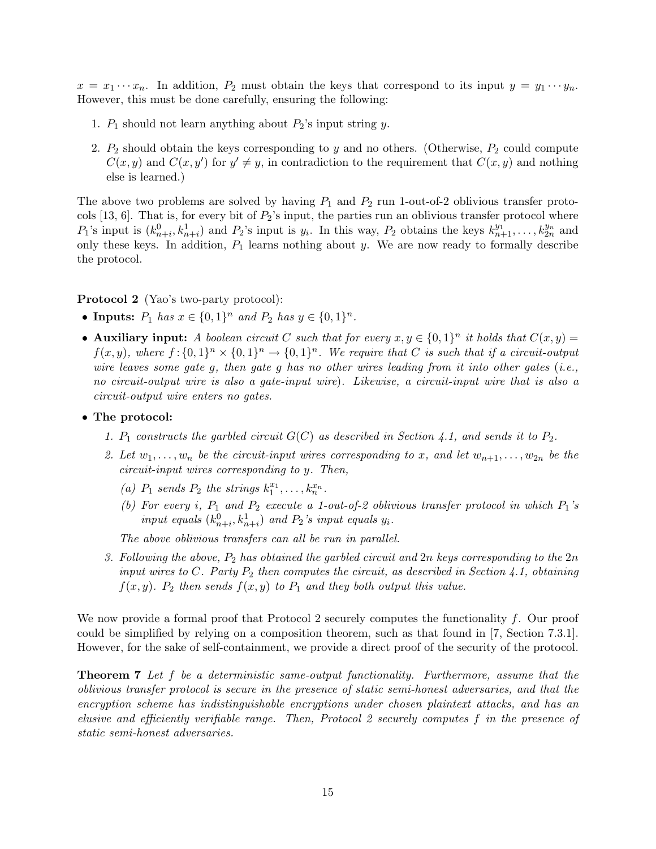$x = x_1 \cdots x_n$ . In addition,  $P_2$  must obtain the keys that correspond to its input  $y = y_1 \cdots y_n$ . However, this must be done carefully, ensuring the following:

- 1.  $P_1$  should not learn anything about  $P_2$ 's input string y.
- 2.  $P_2$  should obtain the keys corresponding to y and no others. (Otherwise,  $P_2$  could compute  $C(x, y)$  and  $C(x, y')$  for  $y' \neq y$ , in contradiction to the requirement that  $C(x, y)$  and nothing else is learned.)

The above two problems are solved by having  $P_1$  and  $P_2$  run 1-out-of-2 oblivious transfer protocols  $[13, 6]$ . That is, for every bit of  $P_2$ 's input, the parties run an oblivious transfer protocol where  $P_1$ 's input is  $(k_{n+i}^0, k_{n+i}^1)$  and  $P_2$ 's input is  $y_i$ . In this way,  $P_2$  obtains the keys  $k_{n+1}^{y_1}, \ldots, k_{2n}^{y_n}$  and only these keys. In addition,  $P_1$  learns nothing about y. We are now ready to formally describe the protocol.

Protocol 2 (Yao's two-party protocol):

- Inputs:  $P_1$  has  $x \in \{0,1\}^n$  and  $P_2$  has  $y \in \{0,1\}^n$ .
- Auxiliary input: A boolean circuit C such that for every  $x, y \in \{0,1\}^n$  it holds that  $C(x, y) =$  $f(x, y)$ , where  $f: \{0, 1\}^n \times \{0, 1\}^n \rightarrow \{0, 1\}^n$ . We require that C is such that if a circuit-output wire leaves some gate g, then gate g has no other wires leading from it into other gates (i.e., no circuit-output wire is also a gate-input wire). Likewise, a circuit-input wire that is also a circuit-output wire enters no gates.

#### • The protocol:

- 1.  $P_1$  constructs the garbled circuit  $G(C)$  as described in Section 4.1, and sends it to  $P_2$ .
- 2. Let  $w_1, \ldots, w_n$  be the circuit-input wires corresponding to x, and let  $w_{n+1}, \ldots, w_{2n}$  be the circuit-input wires corresponding to y. Then,
	- (a)  $P_1$  sends  $P_2$  the strings  $k_1^{x_1}, \ldots, k_n^{x_n}$ .
	- (b) For every i,  $P_1$  and  $P_2$  execute a 1-out-of-2 oblivious transfer protocol in which  $P_1$ 's input equals  $(k_{n+i}^0, k_{n+i}^1)$  and  $P_2$ 's input equals  $y_i$ .

The above oblivious transfers can all be run in parallel.

3. Following the above,  $P_2$  has obtained the garbled circuit and  $2n$  keys corresponding to the  $2n$ input wires to C. Party  $P_2$  then computes the circuit, as described in Section 4.1, obtaining  $f(x, y)$ .  $P_2$  then sends  $f(x, y)$  to  $P_1$  and they both output this value.

We now provide a formal proof that Protocol 2 securely computes the functionality  $f$ . Our proof could be simplified by relying on a composition theorem, such as that found in [7, Section 7.3.1]. However, for the sake of self-containment, we provide a direct proof of the security of the protocol.

Theorem 7 Let f be a deterministic same-output functionality. Furthermore, assume that the oblivious transfer protocol is secure in the presence of static semi-honest adversaries, and that the encryption scheme has indistinguishable encryptions under chosen plaintext attacks, and has an elusive and efficiently verifiable range. Then, Protocol 2 securely computes f in the presence of static semi-honest adversaries.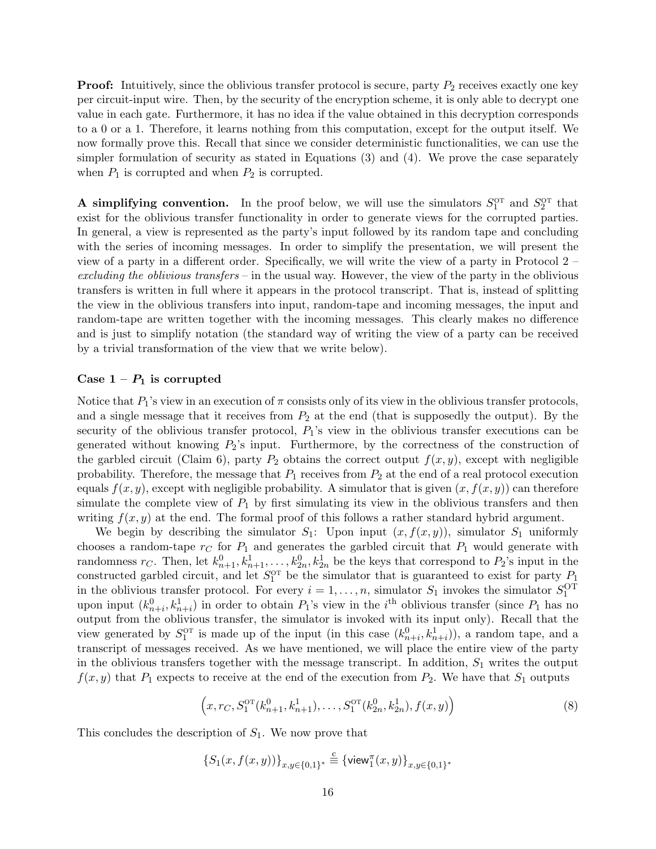**Proof:** Intuitively, since the oblivious transfer protocol is secure, party  $P_2$  receives exactly one key per circuit-input wire. Then, by the security of the encryption scheme, it is only able to decrypt one value in each gate. Furthermore, it has no idea if the value obtained in this decryption corresponds to a 0 or a 1. Therefore, it learns nothing from this computation, except for the output itself. We now formally prove this. Recall that since we consider deterministic functionalities, we can use the simpler formulation of security as stated in Equations (3) and (4). We prove the case separately when  $P_1$  is corrupted and when  $P_2$  is corrupted.

**A** simplifying convention. In the proof below, we will use the simulators  $S_1^{\text{OT}}$  and  $S_2^{\text{OT}}$  that exist for the oblivious transfer functionality in order to generate views for the corrupted parties. In general, a view is represented as the party's input followed by its random tape and concluding with the series of incoming messages. In order to simplify the presentation, we will present the view of a party in a different order. Specifically, we will write the view of a party in Protocol 2 – excluding the oblivious transfers – in the usual way. However, the view of the party in the oblivious transfers is written in full where it appears in the protocol transcript. That is, instead of splitting the view in the oblivious transfers into input, random-tape and incoming messages, the input and random-tape are written together with the incoming messages. This clearly makes no difference and is just to simplify notation (the standard way of writing the view of a party can be received by a trivial transformation of the view that we write below).

#### Case  $1 - P_1$  is corrupted

Notice that  $P_1$ 's view in an execution of  $\pi$  consists only of its view in the oblivious transfer protocols, and a single message that it receives from  $P_2$  at the end (that is supposedly the output). By the security of the oblivious transfer protocol,  $P_1$ 's view in the oblivious transfer executions can be generated without knowing  $P_2$ 's input. Furthermore, by the correctness of the construction of the garbled circuit (Claim 6), party  $P_2$  obtains the correct output  $f(x, y)$ , except with negligible probability. Therefore, the message that  $P_1$  receives from  $P_2$  at the end of a real protocol execution equals  $f(x, y)$ , except with negligible probability. A simulator that is given  $(x, f(x, y))$  can therefore simulate the complete view of  $P_1$  by first simulating its view in the oblivious transfers and then writing  $f(x, y)$  at the end. The formal proof of this follows a rather standard hybrid argument.

We begin by describing the simulator  $S_1$ : Upon input  $(x, f(x, y))$ , simulator  $S_1$  uniformly chooses a random-tape  $r_C$  for  $P_1$  and generates the garbled circuit that  $P_1$  would generate with randomness  $r_C$ . Then, let  $k_{n+1}^0, k_{n+1}^1, \ldots, k_{2n}^0, k_{2n}^1$  be the keys that correspond to  $P_2$ 's input in the constructed garbled circuit, and let  $S_1^{\text{OT}}$  be the simulator that is guaranteed to exist for party  $P_1$ in the oblivious transfer protocol. For every  $i = 1, \ldots, n$ , simulator  $S_1$  invokes the simulator  $S_1^{\text{OT}}$ upon input  $(k_{n+i}^0, k_{n+i}^1)$  in order to obtain  $P_1$ 's view in the i<sup>th</sup> oblivious transfer (since  $P_1$  has no output from the oblivious transfer, the simulator is invoked with its input only). Recall that the view generated by  $S_1^{\text{OT}}$  is made up of the input (in this case  $(k_{n+i}^0, k_{n+i}^1)$ ), a random tape, and a transcript of messages received. As we have mentioned, we will place the entire view of the party in the oblivious transfers together with the message transcript. In addition,  $S_1$  writes the output  $f(x, y)$  that  $P_1$  expects to receive at the end of the execution from  $P_2$ . We have that  $S_1$  outputs

$$
(x, r_C, S_1^{\text{OT}}(k_{n+1}^0, k_{n+1}^1), \dots, S_1^{\text{OT}}(k_{2n}^0, k_{2n}^1), f(x, y))
$$
 (8)

This concludes the description of  $S_1$ . We now prove that

$$
\{S_1(x, f(x, y))\}_{x, y \in \{0, 1\}^*} \stackrel{c}{\equiv} {\text{view}}_1^{\pi}(x, y)\}_{x, y \in \{0, 1\}^*}
$$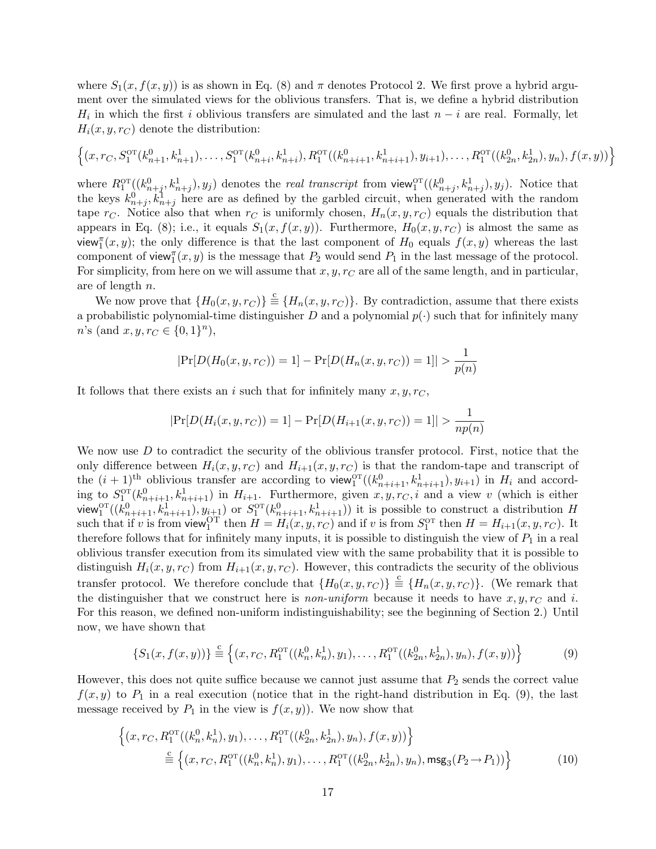where  $S_1(x, f(x, y))$  is as shown in Eq. (8) and  $\pi$  denotes Protocol 2. We first prove a hybrid argument over the simulated views for the oblivious transfers. That is, we define a hybrid distribution  $H_i$  in which the first i oblivious transfers are simulated and the last  $n - i$  are real. Formally, let  $H_i(x, y, r_C)$  denote the distribution:

$$
\left\{ (x, r_C, S_1^{\text{OT}}(k_{n+1}^0, k_{n+1}^1), \dots, S_1^{\text{OT}}(k_{n+i}^0, k_{n+i}^1), R_1^{\text{OT}}((k_{n+i+1}^0, k_{n+i+1}^1), y_{i+1}), \dots, R_1^{\text{OT}}((k_{2n}^0, k_{2n}^1), y_n), f(x, y)) \right\}
$$

where  $R_1^{\text{OT}}((k_{n+j}^0, k_{n+j}^1), y_j)$  denotes the *real transcript* from view $_1^{\text{OT}}((k_{n+j}^0, k_{n+j}^1), y_j)$ . Notice that the keys  $k_{n+j}^0, k_{n+j}^1$  here are as defined by the garbled circuit, when generated with the random tape  $r_C$ . Notice also that when  $r_C$  is uniformly chosen,  $H_n(x, y, r_C)$  equals the distribution that appears in Eq. (8); i.e., it equals  $S_1(x, f(x, y))$ . Furthermore,  $H_0(x, y, r_C)$  is almost the same as view<sup><sup> $\pi$ </sup>(*x, y*); the only difference is that the last component of  $H_0$  equals  $f(x, y)$  whereas the last</sup> component of view<sup> $\pi$ </sup>(*x, y*) is the message that  $P_2$  would send  $P_1$  in the last message of the protocol. For simplicity, from here on we will assume that  $x, y, r_C$  are all of the same length, and in particular, are of length n.

We now prove that  $\{H_0(x, y, r_C)\}\triangleq \{H_n(x, y, r_C)\}\$ . By contradiction, assume that there exists a probabilistic polynomial-time distinguisher D and a polynomial  $p(.)$  such that for infinitely many  $n$ 's (and  $x, y, r_C \in \{0, 1\}^n$ ),

$$
|\Pr[D(H_0(x, y, r_C)) = 1] - \Pr[D(H_n(x, y, r_C)) = 1]| > \frac{1}{p(n)}
$$

It follows that there exists an i such that for infinitely many  $x, y, r<sub>C</sub>$ ,

$$
|\Pr[D(H_i(x, y, r_C)) = 1] - \Pr[D(H_{i+1}(x, y, r_C)) = 1]| > \frac{1}{np(n)}
$$

We now use  $D$  to contradict the security of the oblivious transfer protocol. First, notice that the only difference between  $H_i(x, y, r_C)$  and  $H_{i+1}(x, y, r_C)$  is that the random-tape and transcript of the  $(i + 1)$ <sup>th</sup> oblivious transfer are according to view<sup>or</sup> $((k_{n+i+1}^0, k_{n+i+1}^1), y_{i+1})$  in  $H_i$  and according to  $S_1^{\text{OT}}(k_{n+i+1}^0, k_{n+i+1}^1)$  in  $H_{i+1}$ . Furthermore, given  $x, y, r_C, i$  and a view v (which is either  $\textsf{view}_1^{\text{OT}}((k_{n+i+1}^0, k_{n+i+1}^1), y_{i+1})$  or  $S_1^{\text{OT}}(k_{n+i+1}^0, k_{n+i+1}^1))$  it is possible to construct a distribution  $H$ such that if v is from view<sup>OT</sup> then  $H = H_i(x, y, r_C)$  and if v is from  $S_1^{\text{OT}}$  then  $H = H_{i+1}(x, y, r_C)$ . It therefore follows that for infinitely many inputs, it is possible to distinguish the view of  $P_1$  in a real oblivious transfer execution from its simulated view with the same probability that it is possible to distinguish  $H_i(x, y, r_C)$  from  $H_{i+1}(x, y, r_C)$ . However, this contradicts the security of the oblivious transfer protocol. We therefore conclude that  $\{H_0(x, y, r_C)\}\triangleq \{H_n(x, y, r_C)\}\.$  (We remark that the distinguisher that we construct here is *non-uniform* because it needs to have  $x, y, r_C$  and i. For this reason, we defined non-uniform indistinguishability; see the beginning of Section 2.) Until now, we have shown that

$$
\{S_1(x, f(x, y))\} \stackrel{c}{=} \left\{(x, r_C, R_1^{\text{OT}}((k_n^0, k_n^1), y_1), \dots, R_1^{\text{OT}}((k_{2n}^0, k_{2n}^1), y_n), f(x, y))\right\}
$$
(9)

However, this does not quite suffice because we cannot just assume that  $P_2$  sends the correct value  $f(x, y)$  to  $P_1$  in a real execution (notice that in the right-hand distribution in Eq. (9), the last message received by  $P_1$  in the view is  $f(x, y)$ . We now show that

$$
\begin{aligned}\n\left\{ (x, r_C, R_1^{\text{OT}}((k_n^0, k_n^1), y_1), \dots, R_1^{\text{OT}}((k_{2n}^0, k_{2n}^1), y_n), f(x, y)) \right\} \\
\stackrel{\text{c}}{=} \left\{ (x, r_C, R_1^{\text{OT}}((k_n^0, k_n^1), y_1), \dots, R_1^{\text{OT}}((k_{2n}^0, k_{2n}^1), y_n), \text{msg}_3(P_2 \to P_1)) \right\}\n\end{aligned} \tag{10}
$$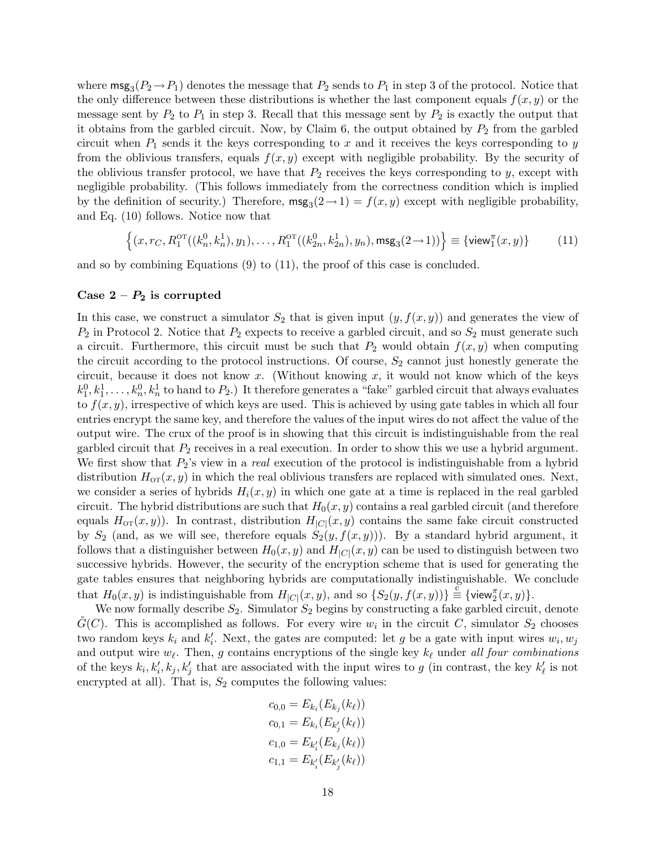where  $\mathsf{msg}_3(P_2\to P_1)$  denotes the message that  $P_2$  sends to  $P_1$  in step 3 of the protocol. Notice that the only difference between these distributions is whether the last component equals  $f(x, y)$  or the message sent by  $P_2$  to  $P_1$  in step 3. Recall that this message sent by  $P_2$  is exactly the output that it obtains from the garbled circuit. Now, by Claim  $6$ , the output obtained by  $P_2$  from the garbled circuit when  $P_1$  sends it the keys corresponding to x and it receives the keys corresponding to y from the oblivious transfers, equals  $f(x, y)$  except with negligible probability. By the security of the oblivious transfer protocol, we have that  $P_2$  receives the keys corresponding to y, except with negligible probability. (This follows immediately from the correctness condition which is implied by the definition of security.) Therefore,  $\text{msg}_3(2\rightarrow 1) = f(x, y)$  except with negligible probability, and Eq. (10) follows. Notice now that

$$
\{(x, r_C, R_1^{\text{OT}}((k_n^0, k_n^1), y_1), \dots, R_1^{\text{OT}}((k_{2n}^0, k_{2n}^1), y_n), \text{msg}_3(2\to 1))\} \equiv \{\text{view}_1^{\pi}(x, y)\} \tag{11}
$$

and so by combining Equations (9) to (11), the proof of this case is concluded.

#### Case  $2 - P_2$  is corrupted

In this case, we construct a simulator  $S_2$  that is given input  $(y, f(x, y))$  and generates the view of  $P_2$  in Protocol 2. Notice that  $P_2$  expects to receive a garbled circuit, and so  $S_2$  must generate such a circuit. Furthermore, this circuit must be such that  $P_2$  would obtain  $f(x, y)$  when computing the circuit according to the protocol instructions. Of course,  $S_2$  cannot just honestly generate the circuit, because it does not know  $x$ . (Without knowing  $x$ , it would not know which of the keys  $k_1^0, k_1^1, \ldots, k_n^0, k_n^1$  to hand to  $P_2$ .) It therefore generates a "fake" garbled circuit that always evaluates to  $f(x, y)$ , irrespective of which keys are used. This is achieved by using gate tables in which all four entries encrypt the same key, and therefore the values of the input wires do not affect the value of the output wire. The crux of the proof is in showing that this circuit is indistinguishable from the real garbled circuit that  $P_2$  receives in a real execution. In order to show this we use a hybrid argument. We first show that  $P_2$ 's view in a *real* execution of the protocol is indistinguishable from a hybrid distribution  $H_{\text{or}}(x, y)$  in which the real oblivious transfers are replaced with simulated ones. Next, we consider a series of hybrids  $H_i(x, y)$  in which one gate at a time is replaced in the real garbled circuit. The hybrid distributions are such that  $H_0(x, y)$  contains a real garbled circuit (and therefore equals  $H_{\text{OT}}(x, y)$ . In contrast, distribution  $H_{|C|}(x, y)$  contains the same fake circuit constructed by  $S_2$  (and, as we will see, therefore equals  $S_2(y, f(x, y))$ ). By a standard hybrid argument, it follows that a distinguisher between  $H_0(x, y)$  and  $H_{|C|}(x, y)$  can be used to distinguish between two successive hybrids. However, the security of the encryption scheme that is used for generating the gate tables ensures that neighboring hybrids are computationally indistinguishable. We conclude that  $H_0(x, y)$  is indistinguishable from  $H_{|C|}(x, y)$ , and so  $\{S_2(y, f(x, y))\}\stackrel{\subset}{=}$  {view<sub>2</sub><sub>2</sub>(x, y)}.

We now formally describe  $S_2$ . Simulator  $S_2$  begins by constructing a fake garbled circuit, denote  $\tilde{G}(C)$ . This is accomplished as follows. For every wire  $w_i$  in the circuit C, simulator  $S_2$  chooses two random keys  $k_i$  and  $k'_i$ . Next, the gates are computed: let g be a gate with input wires  $w_i, w_j$ and output wire  $w_{\ell}$ . Then, g contains encryptions of the single key  $k_{\ell}$  under all four combinations of the keys  $k_i, k'_i, k_j, k'_j$  that are associated with the input wires to g (in contrast, the key  $k'_\ell$  is not encrypted at all). That is,  $S_2$  computes the following values:

$$
c_{0,0} = E_{k_i}(E_{k_j}(k_\ell))
$$
  
\n
$$
c_{0,1} = E_{k_i}(E_{k'_j}(k_\ell))
$$
  
\n
$$
c_{1,0} = E_{k'_i}(E_{k_j}(k_\ell))
$$
  
\n
$$
c_{1,1} = E_{k'_i}(E_{k'_j}(k_\ell))
$$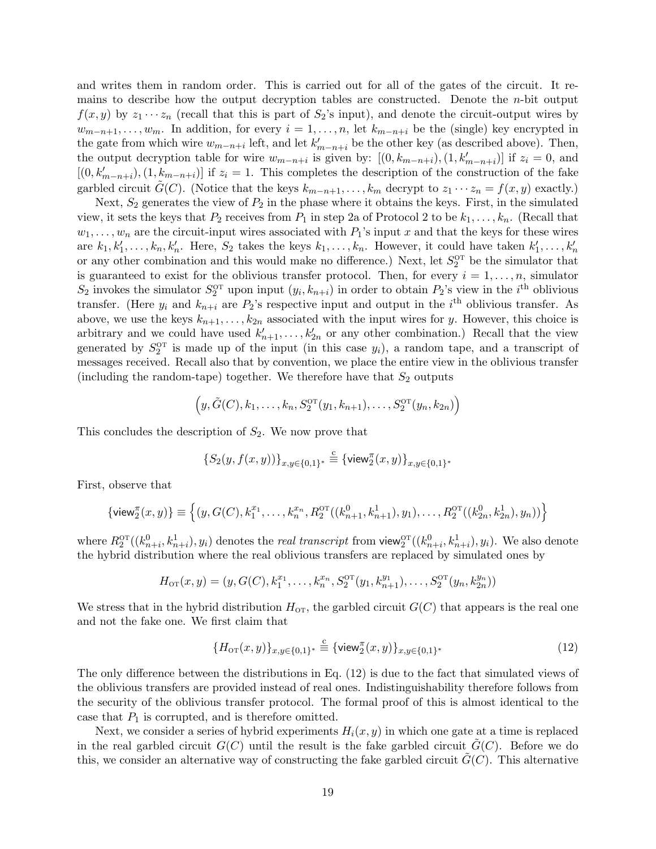and writes them in random order. This is carried out for all of the gates of the circuit. It remains to describe how the output decryption tables are constructed. Denote the  $n$ -bit output  $f(x, y)$  by  $z_1 \cdots z_n$  (recall that this is part of  $S_2$ 's input), and denote the circuit-output wires by  $w_{m-n+1}, \ldots, w_m$ . In addition, for every  $i = 1, \ldots, n$ , let  $k_{m-n+i}$  be the (single) key encrypted in the gate from which wire  $w_{m-n+i}$  left, and let  $k'_{m-n+i}$  be the other key (as described above). Then, the output decryption table for wire  $w_{m-n+i}$  is given by:  $[(0, k_{m-n+i}), (1, k'_{m-n+i})]$  if  $z_i = 0$ , and  $[(0, k'_{m-n+i}), (1, k_{m-n+i})]$  if  $z_i = 1$ . This completes the description of the construction of the fake garbled circuit  $\tilde{G}(C)$ . (Notice that the keys  $k_{m-n+1}, \ldots, k_m$  decrypt to  $z_1 \cdots z_n = f(x, y)$  exactly.)

Next,  $S_2$  generates the view of  $P_2$  in the phase where it obtains the keys. First, in the simulated view, it sets the keys that  $P_2$  receives from  $P_1$  in step 2a of Protocol 2 to be  $k_1, \ldots, k_n$ . (Recall that  $w_1, \ldots, w_n$  are the circuit-input wires associated with  $P_1$ 's input x and that the keys for these wires are  $k_1, k'_1, \ldots, k_n, k'_n$ . Here,  $S_2$  takes the keys  $k_1, \ldots, k_n$ . However, it could have taken  $k'_1, \ldots, k'_n$ or any other combination and this would make no difference.) Next, let  $S_2^{\text{OT}}$  be the simulator that is guaranteed to exist for the oblivious transfer protocol. Then, for every  $i = 1, \ldots, n$ , simulator  $S_2$  invokes the simulator  $S_2^{\text{OT}}$  upon input  $(y_i, k_{n+i})$  in order to obtain  $P_2$ 's view in the *i*<sup>th</sup> oblivious transfer. (Here  $y_i$  and  $k_{n+i}$  are  $P_2$ 's respective input and output in the  $i<sup>th</sup>$  oblivious transfer. As above, we use the keys  $k_{n+1}, \ldots, k_{2n}$  associated with the input wires for y. However, this choice is arbitrary and we could have used  $k'_{n+1}, \ldots, k'_{2n}$  or any other combination.) Recall that the view generated by  $S_2^{\text{OT}}$  is made up of the input (in this case  $y_i$ ), a random tape, and a transcript of messages received. Recall also that by convention, we place the entire view in the oblivious transfer (including the random-tape) together. We therefore have that  $S_2$  outputs

$$
(y, \tilde{G}(C), k_1, \ldots, k_n, S_2^{\text{OT}}(y_1, k_{n+1}), \ldots, S_2^{\text{OT}}(y_n, k_{2n}))
$$

This concludes the description of  $S_2$ . We now prove that

$$
\{S_2(y,f(x,y))\}_{x,y\in\{0,1\}^*}\stackrel{\text{c}}{=} \{\textsf{view}^\pi_2(x,y)\}_{x,y\in\{0,1\}^*}
$$

First, observe that

$$
\{\text{view}_2^{\pi}(x,y)\} \equiv \left\{ (y, G(C), k_1^{x_1}, \dots, k_n^{x_n}, R_2^{\text{OT}}((k_{n+1}^0, k_{n+1}^1), y_1), \dots, R_2^{\text{OT}}((k_{2n}^0, k_{2n}^1), y_n)) \right\}
$$

where  $R_2^{\text{OT}}((k_{n+i}^0, k_{n+i}^1), y_i)$  denotes the *real transcript* from view $2^{\text{OT}}((k_{n+i}^0, k_{n+i}^1), y_i)$ . We also denote the hybrid distribution where the real oblivious transfers are replaced by simulated ones by

$$
H_{\text{OT}}(x, y) = (y, G(C), k_1^{x_1}, \dots, k_n^{x_n}, S_2^{\text{OT}}(y_1, k_{n+1}^{y_1}), \dots, S_2^{\text{OT}}(y_n, k_{2n}^{y_n}))
$$

We stress that in the hybrid distribution  $H_{\text{or}}$ , the garbled circuit  $G(C)$  that appears is the real one and not the fake one. We first claim that

$$
\{H_{\text{OT}}(x,y)\}_{x,y\in\{0,1\}^*} \stackrel{\text{c}}{=} \{\text{view}_2^{\pi}(x,y)\}_{x,y\in\{0,1\}^*}
$$
 (12)

The only difference between the distributions in Eq. (12) is due to the fact that simulated views of the oblivious transfers are provided instead of real ones. Indistinguishability therefore follows from the security of the oblivious transfer protocol. The formal proof of this is almost identical to the case that  $P_1$  is corrupted, and is therefore omitted.

Next, we consider a series of hybrid experiments  $H_i(x, y)$  in which one gate at a time is replaced in the real garbled circuit  $G(C)$  until the result is the fake garbled circuit  $G(C)$ . Before we do this, we consider an alternative way of constructing the fake garbled circuit  $G(C)$ . This alternative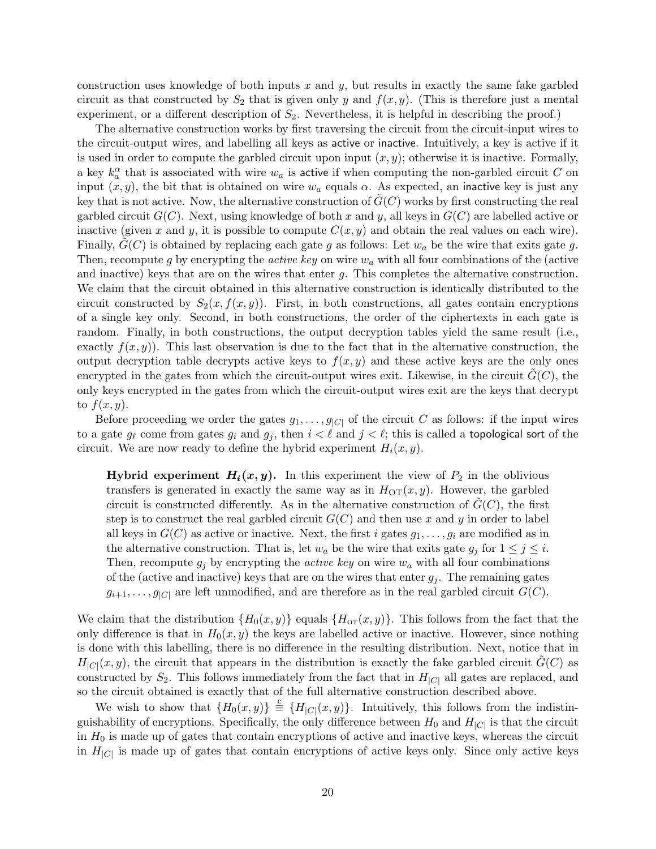construction uses knowledge of both inputs  $x$  and  $y$ , but results in exactly the same fake garbled circuit as that constructed by  $S_2$  that is given only y and  $f(x, y)$ . (This is therefore just a mental experiment, or a different description of  $S_2$ . Nevertheless, it is helpful in describing the proof.)

The alternative construction works by first traversing the circuit from the circuit-input wires to the circuit-output wires, and labelling all keys as active or inactive. Intuitively, a key is active if it is used in order to compute the garbled circuit upon input  $(x, y)$ ; otherwise it is inactive. Formally, a key  $k_a^{\alpha}$  that is associated with wire  $w_a$  is active if when computing the non-garbled circuit C on input  $(x, y)$ , the bit that is obtained on wire  $w_a$  equals  $\alpha$ . As expected, an inactive key is just any key that is not active. Now, the alternative construction of  $G(C)$  works by first constructing the real garbled circuit  $G(C)$ . Next, using knowledge of both x and y, all keys in  $G(C)$  are labelled active or inactive (given x and y, it is possible to compute  $C(x, y)$  and obtain the real values on each wire). Finally,  $G(C)$  is obtained by replacing each gate g as follows: Let  $w_a$  be the wire that exits gate g. Then, recompute g by encrypting the *active key* on wire  $w_a$  with all four combinations of the (active and inactive) keys that are on the wires that enter  $q$ . This completes the alternative construction. We claim that the circuit obtained in this alternative construction is identically distributed to the circuit constructed by  $S_2(x, f(x, y))$ . First, in both constructions, all gates contain encryptions of a single key only. Second, in both constructions, the order of the ciphertexts in each gate is random. Finally, in both constructions, the output decryption tables yield the same result (i.e., exactly  $f(x, y)$ . This last observation is due to the fact that in the alternative construction, the output decryption table decrypts active keys to  $f(x, y)$  and these active keys are the only ones encrypted in the gates from which the circuit-output wires exit. Likewise, in the circuit  $G(C)$ , the only keys encrypted in the gates from which the circuit-output wires exit are the keys that decrypt to  $f(x, y)$ .

Before proceeding we order the gates  $g_1, \ldots, g_{|C|}$  of the circuit C as follows: if the input wires to a gate  $g_\ell$  come from gates  $g_i$  and  $g_j$ , then  $i < \ell$  and  $j < \ell$ ; this is called a topological sort of the circuit. We are now ready to define the hybrid experiment  $H_i(x, y)$ .

**Hybrid experiment**  $H_i(x, y)$ **.** In this experiment the view of  $P_2$  in the oblivious transfers is generated in exactly the same way as in  $H_{\text{OT}}(x, y)$ . However, the garbled circuit is constructed differently. As in the alternative construction of  $G(C)$ , the first step is to construct the real garbled circuit  $G(C)$  and then use x and y in order to label all keys in  $G(C)$  as active or inactive. Next, the first i gates  $g_1, \ldots, g_i$  are modified as in the alternative construction. That is, let  $w_a$  be the wire that exits gate  $g_j$  for  $1 \leq j \leq i$ . Then, recompute  $g_i$  by encrypting the *active key* on wire  $w_a$  with all four combinations of the (active and inactive) keys that are on the wires that enter  $g_i$ . The remaining gates  $g_{i+1}, \ldots, g_{|C|}$  are left unmodified, and are therefore as in the real garbled circuit  $G(C)$ .

We claim that the distribution  $\{H_0(x, y)\}$  equals  $\{H_{\text{OT}}(x, y)\}$ . This follows from the fact that the only difference is that in  $H_0(x, y)$  the keys are labelled active or inactive. However, since nothing is done with this labelling, there is no difference in the resulting distribution. Next, notice that in  $H_{|C|}(x, y)$ , the circuit that appears in the distribution is exactly the fake garbled circuit  $\tilde{G}(C)$  as constructed by  $S_2$ . This follows immediately from the fact that in  $H_{|C|}$  all gates are replaced, and so the circuit obtained is exactly that of the full alternative construction described above.

We wish to show that  $\{H_0(x,y)\}\triangleq \{H_{|C|}(x,y)\}\.$  Intuitively, this follows from the indistinguishability of encryptions. Specifically, the only difference between  $H_0$  and  $H_{|C|}$  is that the circuit in  $H_0$  is made up of gates that contain encryptions of active and inactive keys, whereas the circuit in  $H_{|C|}$  is made up of gates that contain encryptions of active keys only. Since only active keys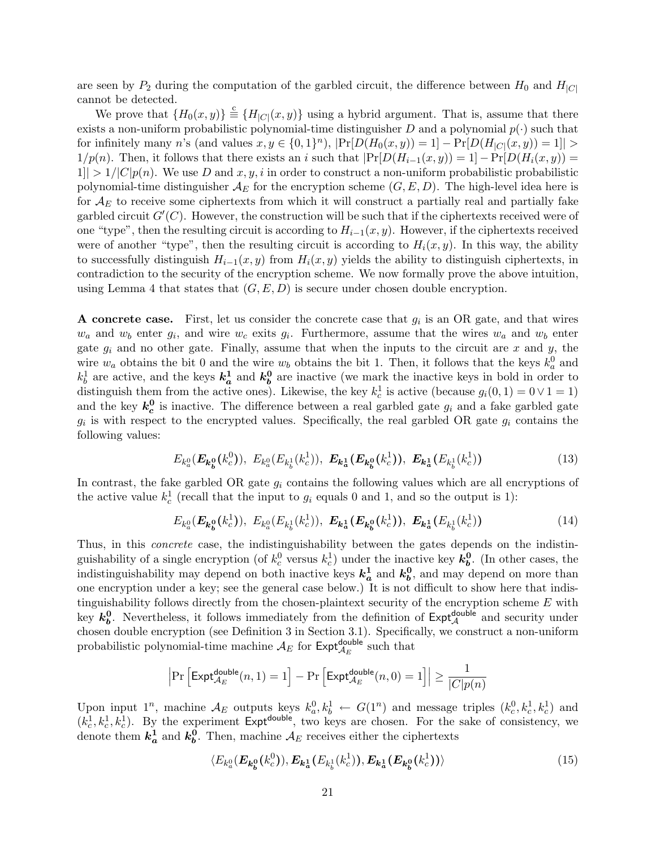are seen by  $P_2$  during the computation of the garbled circuit, the difference between  $H_0$  and  $H_{|C|}$ cannot be detected.

We prove that  $\{H_0(x,y)\}\stackrel{c}{\equiv}\{H_{|C|}(x,y)\}$  using a hybrid argument. That is, assume that there exists a non-uniform probabilistic polynomial-time distinguisher D and a polynomial  $p(\cdot)$  such that for infinitely many n's (and values  $x, y \in \{0, 1\}^n$ ),  $|\Pr[D(H_0(x, y)) = 1] - \Pr[D(H_{|C|}(x, y)) = 1]| >$  $1/p(n)$ . Then, it follows that there exists an i such that  $|\Pr[D(H_{i-1}(x,y)) = 1] - \Pr[D(H_i(x,y)) = 1]$  $|1| > 1/|C|p(n)$ . We use D and x, y, i in order to construct a non-uniform probabilistic probabilistic polynomial-time distinguisher  $\mathcal{A}_E$  for the encryption scheme  $(G, E, D)$ . The high-level idea here is for  $\mathcal{A}_E$  to receive some ciphertexts from which it will construct a partially real and partially fake garbled circuit  $G'(C)$ . However, the construction will be such that if the ciphertexts received were of one "type", then the resulting circuit is according to  $H_{i-1}(x, y)$ . However, if the ciphertexts received were of another "type", then the resulting circuit is according to  $H_i(x, y)$ . In this way, the ability to successfully distinguish  $H_{i-1}(x, y)$  from  $H_i(x, y)$  yields the ability to distinguish ciphertexts, in contradiction to the security of the encryption scheme. We now formally prove the above intuition, using Lemma 4 that states that  $(G, E, D)$  is secure under chosen double encryption.

**A concrete case.** First, let us consider the concrete case that  $g_i$  is an OR gate, and that wires  $w_a$  and  $w_b$  enter  $g_i$ , and wire  $w_c$  exits  $g_i$ . Furthermore, assume that the wires  $w_a$  and  $w_b$  enter gate  $g_i$  and no other gate. Finally, assume that when the inputs to the circuit are x and y, the wire  $w_a$  obtains the bit 0 and the wire  $w_b$  obtains the bit 1. Then, it follows that the keys  $k_a^0$  and  $k_b^1$  are active, and the keys  $k_a^1$  $\frac{1}{a}$  and  $k_b^0$  $\frac{0}{b}$  are inactive (we mark the inactive keys in bold in order to distinguish them from the active ones). Likewise, the key  $k_c^1$  is active (because  $g_i(0,1) = 0 \vee 1 = 1$ ) and the key  $k_c^0$  $\frac{0}{c}$  is inactive. The difference between a real garbled gate  $g_i$  and a fake garbled gate  $g_i$  is with respect to the encrypted values. Specifically, the real garbled OR gate  $g_i$  contains the following values:

$$
E_{k_a^0}(\mathbf{E}_{k_b^0}(k_c^0)), E_{k_a^0}(E_{k_b^1}(k_c^1)), \mathbf{E}_{k_a^1}(\mathbf{E}_{k_b^0}(k_c^1)), \mathbf{E}_{k_a^1}(E_{k_b^1}(k_c^1))
$$
\n(13)

In contrast, the fake garbled OR gate  $g_i$  contains the following values which are all encryptions of the active value  $k_c^1$  (recall that the input to  $g_i$  equals 0 and 1, and so the output is 1):

$$
E_{k_a^0}(\mathbf{E}_{k_b^0}(k_c^1)), E_{k_a^0}(E_{k_b^1}(k_c^1)), \mathbf{E}_{k_a^1}(\mathbf{E}_{k_b^0}(k_c^1)), \mathbf{E}_{k_a^1}(E_{k_b^1}(k_c^1))
$$
\n(14)

Thus, in this *concrete* case, the indistinguishability between the gates depends on the indistinguishability of a single encryption (of  $k_c^0$  versus  $k_c^1$ ) under the inactive key  $k_b^0$  $\stackrel{0}{b}$ . (In other cases, the indistinguishability may depend on both inactive keys  $k_a^1$  $\frac{1}{a}$  and  $k_b^0$  $\mathbf{b}$ , and may depend on more than one encryption under a key; see the general case below.) It is not difficult to show here that indistinguishability follows directly from the chosen-plaintext security of the encryption scheme  $E$  with key  $k_h^0$ <sup>0</sup>. Nevertheless, it follows immediately from the definition of  $\text{Expt}_{\mathcal{A}}^{\text{double}}$  and security under chosen double encryption (see Definition 3 in Section 3.1). Specifically, we construct a non-uniform probabilistic polynomial-time machine  $\mathcal{A}_E$  for  $\mathsf{Expt}_{\mathcal{A}_E}^{\mathsf{double}}$  such that

$$
\left|\Pr\left[\text{Expt}_{\mathcal{A}_E}^{\text{double}}(n,1)=1\right]-\Pr\left[\text{Expt}_{\mathcal{A}_E}^{\text{double}}(n,0)=1\right]\right|\geq \frac{1}{|C|p(n)}
$$

Upon input  $1^n$ , machine  $\mathcal{A}_E$  outputs keys  $k_a^0, k_b^1 \leftarrow G(1^n)$  and message triples  $(k_c^0, k_c^1, k_c^1)$  and  $(k_c^1, k_c^1, k_c^1)$ . By the experiment Expt<sup>double</sup>, two keys are chosen. For the sake of consistency, we denote them  $k_a^1$  $\frac{1}{a}$  and  $k_b^0$  $\mathfrak{b}$ . Then, machine  $\mathcal{A}_E$  receives either the ciphertexts

$$
\langle E_{k_a^0}(\bm{E}_{k_b^0}(k_c^0)), \bm{E}_{k_a^1}(\bm{E}_{k_b^1}(k_c^1)), \bm{E}_{k_a^1}(\bm{E}_{k_b^0}(k_c^1))\rangle \tag{15}
$$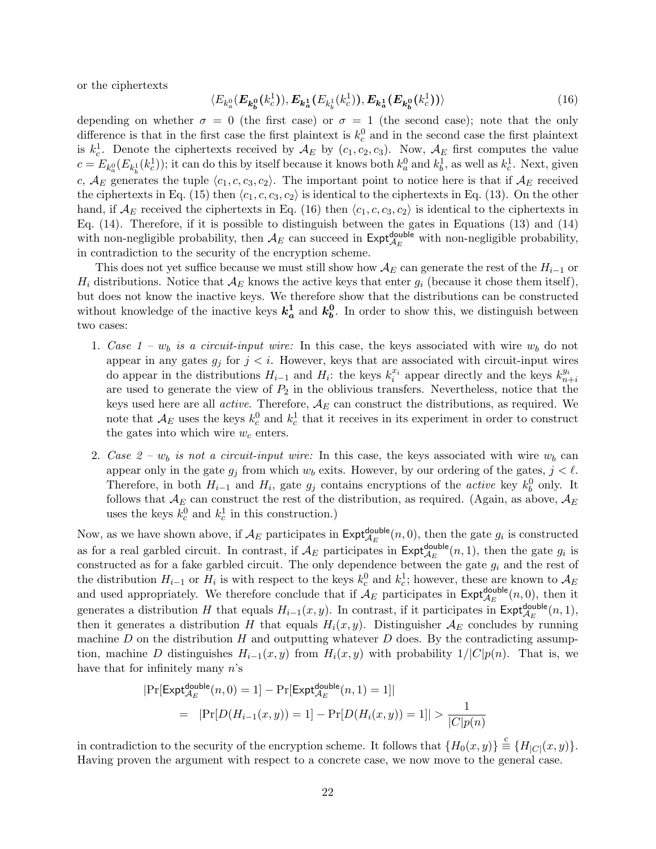or the ciphertexts

$$
\langle E_{k_a^0}(\boldsymbol{E}_{k_b^0}(k_c^1)), \boldsymbol{E}_{k_a^1}(\boldsymbol{E}_{k_b^1}(k_c^1)), \boldsymbol{E}_{k_a^1}(\boldsymbol{E}_{k_b^0}(k_c^1)) \rangle \tag{16}
$$

depending on whether  $\sigma = 0$  (the first case) or  $\sigma = 1$  (the second case); note that the only difference is that in the first case the first plaintext is  $k_c^0$  and in the second case the first plaintext is  $k_c^1$ . Denote the ciphertexts received by  $\mathcal{A}_E$  by  $(c_1, c_2, c_3)$ . Now,  $\mathcal{A}_E$  first computes the value  $c = E_{k_a^0}(E_{k_b^1}(k_c^1));$  it can do this by itself because it knows both  $k_a^0$  and  $k_b^1$ , as well as  $k_c^1$ . Next, given c,  $\mathcal{A}_E$  generates the tuple  $\langle c_1, c, c_3, c_2 \rangle$ . The important point to notice here is that if  $\mathcal{A}_E$  received the ciphertexts in Eq. (15) then  $\langle c_1, c, c_3, c_2 \rangle$  is identical to the ciphertexts in Eq. (13). On the other hand, if  $\mathcal{A}_E$  received the ciphertexts in Eq. (16) then  $\langle c_1, c, c_3, c_2 \rangle$  is identical to the ciphertexts in Eq. (14). Therefore, if it is possible to distinguish between the gates in Equations (13) and (14) with non-negligible probability, then  $A_E$  can succeed in  $\text{Expt}_{A_E}^{\text{double}}$  with non-negligible probability, in contradiction to the security of the encryption scheme.

This does not yet suffice because we must still show how  $A_E$  can generate the rest of the  $H_{i-1}$  or  $H_i$  distributions. Notice that  $A_E$  knows the active keys that enter  $g_i$  (because it chose them itself), but does not know the inactive keys. We therefore show that the distributions can be constructed without knowledge of the inactive keys  $k_a^1$  $\frac{1}{a}$  and  $k_b^0$  $\mathbf{b}$ . In order to show this, we distinguish between two cases:

- 1. Case  $1 w_b$  is a circuit-input wire: In this case, the keys associated with wire  $w_b$  do not appear in any gates  $g_j$  for  $j < i$ . However, keys that are associated with circuit-input wires do appear in the distributions  $H_{i-1}$  and  $H_i$ : the keys  $k_i^{x_i}$  appear directly and the keys  $k_{n+i}^{y_i}$ are used to generate the view of  $P_2$  in the oblivious transfers. Nevertheless, notice that the keys used here are all *active*. Therefore,  $A_E$  can construct the distributions, as required. We note that  $\mathcal{A}_E$  uses the keys  $k_c^0$  and  $k_c^1$  that it receives in its experiment in order to construct the gates into which wire  $w_c$  enters.
- 2. Case  $2 w_b$  is not a circuit-input wire: In this case, the keys associated with wire  $w_b$  can appear only in the gate  $g_j$  from which  $w_b$  exits. However, by our ordering of the gates,  $j < \ell$ . Therefore, in both  $H_{i-1}$  and  $H_i$ , gate  $g_j$  contains encryptions of the *active* key  $k_b^0$  only. It follows that  $A_E$  can construct the rest of the distribution, as required. (Again, as above,  $A_E$ uses the keys  $k_c^0$  and  $k_c^1$  in this construction.)

Now, as we have shown above, if  $\mathcal{A}_E$  participates in  $\text{Expt}_{\mathcal{A}_E}^{\text{double}}(n,0)$ , then the gate  $g_i$  is constructed as for a real garbled circuit. In contrast, if  $\mathcal{A}_E$  participates in  $\mathsf{Expt}_{\mathcal{A}_E}^{\mathsf{double}}(n,1)$ , then the gate  $g_i$  is constructed as for a fake garbled circuit. The only dependence between the gate  $g_i$  and the rest of the distribution  $H_{i-1}$  or  $H_i$  is with respect to the keys  $k_c^0$  and  $k_c^1$ ; however, these are known to  $\mathcal{A}_E$ and used appropriately. We therefore conclude that if  $\mathcal{A}_E$  participates in  $\text{Expt}_{\mathcal{A}_E}^{\text{double}}(n,0)$ , then it generates a distribution H that equals  $H_{i-1}(x, y)$ . In contrast, if it participates in  $\text{Expt}_{\mathcal{A}_E}^{\text{double}}(n, 1)$ , then it generates a distribution H that equals  $H_i(x, y)$ . Distinguisher  $\mathcal{A}_E$  concludes by running machine  $D$  on the distribution  $H$  and outputting whatever  $D$  does. By the contradicting assumption, machine D distinguishes  $H_{i-1}(x, y)$  from  $H_i(x, y)$  with probability  $1/|C|p(n)$ . That is, we have that for infinitely many  $n$ 's

$$
|\Pr[\mathsf{Expt}_{\mathcal{A}_E}^{\mathsf{double}}(n,0) = 1] - \Pr[\mathsf{Expt}_{\mathcal{A}_E}^{\mathsf{double}}(n,1) = 1]|
$$
  
= 
$$
|\Pr[D(H_{i-1}(x,y)) = 1] - \Pr[D(H_i(x,y)) = 1]| > \frac{1}{|C|p(n)}
$$

in contradiction to the security of the encryption scheme. It follows that  $\{H_0(x, y)\}\stackrel{c}{=} \{H_{|C|}(x, y)\}.$ Having proven the argument with respect to a concrete case, we now move to the general case.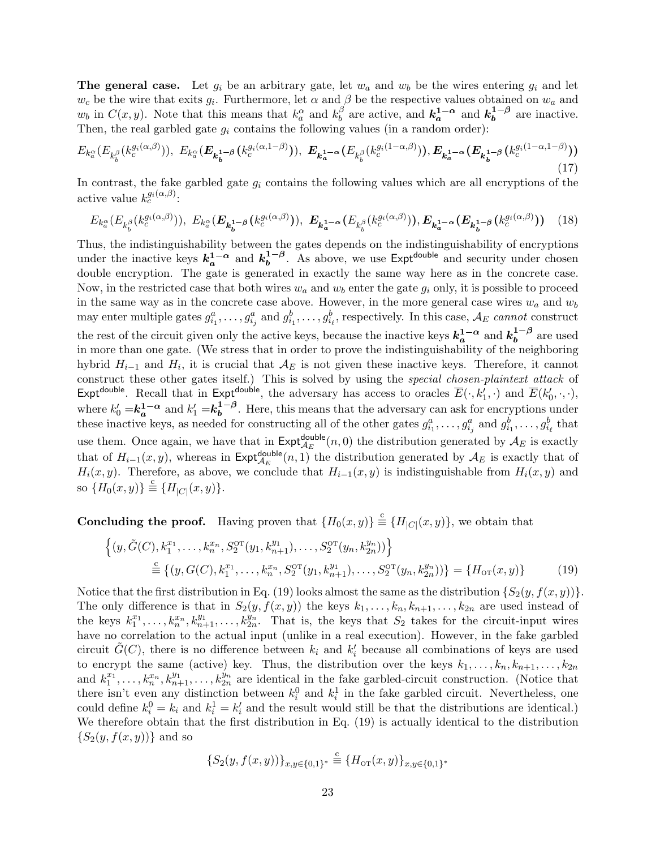**The general case.** Let  $g_i$  be an arbitrary gate, let  $w_a$  and  $w_b$  be the wires entering  $g_i$  and let  $w_c$  be the wire that exits  $g_i$ . Furthermore, let  $\alpha$  and  $\beta$  be the respective values obtained on  $w_a$  and  $w_b$  in  $C(x, y)$ . Note that this means that  $k_a^{\alpha}$  and  $k_b^{\beta}$  $\frac{\beta}{b}$  are active, and  $k_a^{1-\alpha}$  and  $k_b^{1-\beta}$  are inactive. Then, the real garbled gate  $g_i$  contains the following values (in a random order):

$$
E_{k_a^{\alpha}}(E_{k_b^{\beta}}(k_c^{g_i(\alpha,\beta)})), E_{k_a^{\alpha}}(E_{k_b^{1-\beta}}(k_c^{g_i(\alpha,1-\beta)})), E_{k_a^{1-\alpha}}(E_{k_b^{\beta}}(k_c^{g_i(1-\alpha,\beta)})), E_{k_a^{1-\alpha}}(E_{k_b^{1-\beta}}(k_c^{g_i(1-\alpha,1-\beta)}))
$$
\n(17)

In contrast, the fake garbled gate  $g_i$  contains the following values which are all encryptions of the active value  $k_c^{g_i(\alpha,\beta)}$ :

$$
E_{k_a^{\alpha}}(E_{k_b^{\beta}}(k_c^{g_i(\alpha,\beta)})), E_{k_a^{\alpha}}(E_{k_b^{1-\beta}}(k_c^{g_i(\alpha,\beta)})), E_{k_a^{1-\alpha}}(E_{k_b^{\beta}}(k_c^{g_i(\alpha,\beta)})), E_{k_a^{1-\alpha}}(E_{k_b^{1-\beta}}(k_c^{g_i(\alpha,\beta)})) \quad (18)
$$

Thus, the indistinguishability between the gates depends on the indistinguishability of encryptions under the inactive keys  $k_a^{1-\alpha}$  and  $k_b^{1-\beta}$ . As above, we use Expt<sup>double</sup> and security under chosen double encryption. The gate is generated in exactly the same way here as in the concrete case. Now, in the restricted case that both wires  $w_a$  and  $w_b$  enter the gate  $g_i$  only, it is possible to proceed in the same way as in the concrete case above. However, in the more general case wires  $w_a$  and  $w_b$ may enter multiple gates  $g_{i_1}^a, \ldots, g_{i_j}^a$  and  $g_{i_1}^b, \ldots, g_{i_\ell}^b$ , respectively. In this case,  $\mathcal{A}_E$  cannot construct the rest of the circuit given only the active keys, because the inactive keys  $k_a^{1-\alpha}$  and  $k_b^{1-\beta}$  are used in more than one gate. (We stress that in order to prove the indistinguishability of the neighboring hybrid  $H_{i-1}$  and  $H_i$ , it is crucial that  $A_E$  is not given these inactive keys. Therefore, it cannot construct these other gates itself.) This is solved by using the *special chosen-plaintext attack* of Expt<sup>double</sup>. Recall that in Expt<sup>double</sup>, the adversary has access to oracles  $\overline{E}(\cdot, k_1', \cdot)$  and  $\overline{E}(k_0', \cdot, \cdot)$ , where  $k'_0 = \mathbf{k}_a^1 - \alpha$  and  $k'_1 = \mathbf{k}_b^1 - \beta$ . Here, this means that the adversary can ask for encryptions under these inactive keys, as needed for constructing all of the other gates  $g_{i_1}^a, \ldots, g_{i_j}^a$  and  $g_{i_1}^b, \ldots, g_{i_\ell}^b$  that use them. Once again, we have that in  $\text{Expt}_{\mathcal{A}_E}^{\text{double}}(n,0)$  the distribution generated by  $\mathcal{A}_E$  is exactly that of  $H_{i-1}(x, y)$ , whereas in  $\text{Expt}_{\mathcal{A}_E}^{\text{double}}(n, 1)$  the distribution generated by  $\mathcal{A}_E$  is exactly that of  $H_i(x, y)$ . Therefore, as above, we conclude that  $H_{i-1}(x, y)$  is indistinguishable from  $H_i(x, y)$  and so  ${H_0(x,y)} \equiv {H_{|C|}(x,y)}.$ 

**Concluding the proof.** Having proven that  ${H_0(x, y)} \equiv {H_{|C|}(x, y)}$ , we obtain that

$$
\begin{aligned} \left\{ (y, \tilde{G}(C), k_1^{x_1}, \dots, k_n^{x_n}, S_2^{\text{OT}}(y_1, k_{n+1}^{y_1}), \dots, S_2^{\text{OT}}(y_n, k_{2n}^{y_n})) \right\} \\ \stackrel{\text{c}}{=} \left\{ (y, G(C), k_1^{x_1}, \dots, k_n^{x_n}, S_2^{\text{OT}}(y_1, k_{n+1}^{y_1}), \dots, S_2^{\text{OT}}(y_n, k_{2n}^{y_n})) \right\} = \left\{ H_{\text{OT}}(x, y) \right\} \end{aligned} \tag{19}
$$

Notice that the first distribution in Eq. (19) looks almost the same as the distribution  $\{S_2(y, f(x, y))\}$ . The only difference is that in  $S_2(y, f(x, y))$  the keys  $k_1, \ldots, k_n, k_{n+1}, \ldots, k_{2n}$  are used instead of the keys  $k_1^{x_1}, \ldots, k_n^{x_n}, k_{n+1}^{y_1}, \ldots, k_{2n}^{y_n}$ . That is, the keys that  $S_2$  takes for the circuit-input wires have no correlation to the actual input (unlike in a real execution). However, in the fake garbled circuit  $\tilde{G}(C)$ , there is no difference between  $k_i$  and  $k'_i$  because all combinations of keys are used to encrypt the same (active) key. Thus, the distribution over the keys  $k_1, \ldots, k_n, k_{n+1}, \ldots, k_{2n}$ and  $k_1^{x_1}, \ldots, k_n^{x_n}, k_{n+1}^{y_1}, \ldots, k_{2n}^{y_n}$  are identical in the fake garbled-circuit construction. (Notice that there isn't even any distinction between  $k_i^0$  and  $k_i^1$  in the fake garbled circuit. Nevertheless, one could define  $k_i^0 = k_i$  and  $k_i^1 = k'_i$  and the result would still be that the distributions are identical.) We therefore obtain that the first distribution in Eq. (19) is actually identical to the distribution  $\{S_2(y, f(x, y))\}\$ and so

$$
\{S_2(y, f(x, y))\}_{x, y \in \{0, 1\}^*} \stackrel{c}{=} \{H_{\text{OT}}(x, y)\}_{x, y \in \{0, 1\}^*}
$$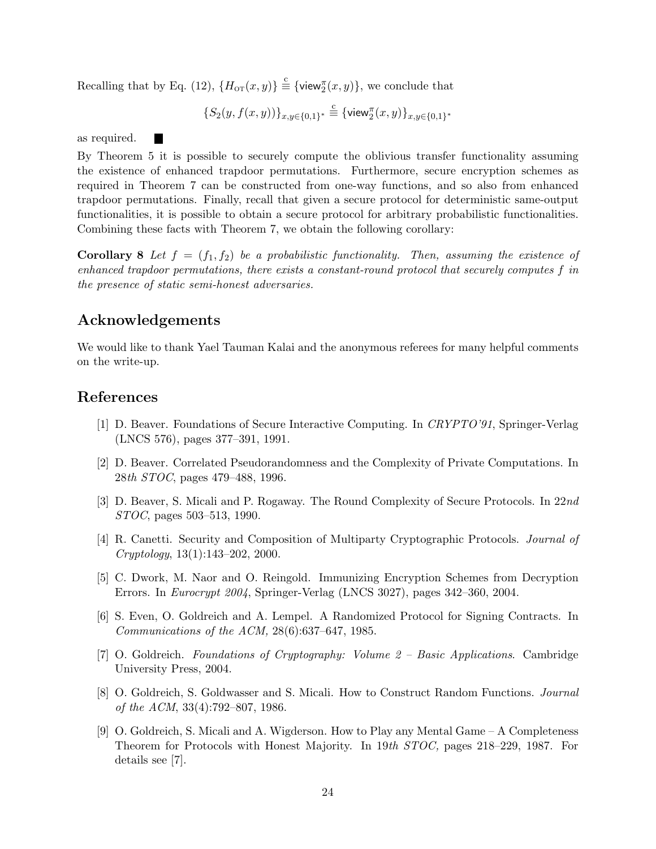Recalling that by Eq. (12),  $\{H_{\text{OT}}(x, y)\}\stackrel{c}{\equiv} \{\text{view}_2^{\pi}(x, y)\},\$  we conclude that

$$
\{S_2(y, f(x, y))\}_{x, y \in \{0, 1\}^*} \stackrel{\text{c}}{=} {\text{View}_{2}^{\pi}(x, y)}_{x, y \in \{0, 1\}^*}
$$

as required.

By Theorem 5 it is possible to securely compute the oblivious transfer functionality assuming the existence of enhanced trapdoor permutations. Furthermore, secure encryption schemes as required in Theorem 7 can be constructed from one-way functions, and so also from enhanced trapdoor permutations. Finally, recall that given a secure protocol for deterministic same-output functionalities, it is possible to obtain a secure protocol for arbitrary probabilistic functionalities. Combining these facts with Theorem 7, we obtain the following corollary:

**Corollary 8** Let  $f = (f_1, f_2)$  be a probabilistic functionality. Then, assuming the existence of enhanced trapdoor permutations, there exists a constant-round protocol that securely computes f in the presence of static semi-honest adversaries.

### Acknowledgements

We would like to thank Yael Tauman Kalai and the anonymous referees for many helpful comments on the write-up.

## References

- [1] D. Beaver. Foundations of Secure Interactive Computing. In CRYPTO'91, Springer-Verlag (LNCS 576), pages 377–391, 1991.
- [2] D. Beaver. Correlated Pseudorandomness and the Complexity of Private Computations. In 28th STOC, pages 479–488, 1996.
- [3] D. Beaver, S. Micali and P. Rogaway. The Round Complexity of Secure Protocols. In 22nd STOC, pages 503–513, 1990.
- [4] R. Canetti. Security and Composition of Multiparty Cryptographic Protocols. Journal of Cryptology, 13(1):143–202, 2000.
- [5] C. Dwork, M. Naor and O. Reingold. Immunizing Encryption Schemes from Decryption Errors. In Eurocrypt 2004, Springer-Verlag (LNCS 3027), pages 342–360, 2004.
- [6] S. Even, O. Goldreich and A. Lempel. A Randomized Protocol for Signing Contracts. In Communications of the ACM, 28(6):637–647, 1985.
- [7] O. Goldreich. Foundations of Cryptography: Volume 2 Basic Applications. Cambridge University Press, 2004.
- [8] O. Goldreich, S. Goldwasser and S. Micali. How to Construct Random Functions. Journal of the ACM, 33(4):792–807, 1986.
- [9] O. Goldreich, S. Micali and A. Wigderson. How to Play any Mental Game A Completeness Theorem for Protocols with Honest Majority. In 19th STOC, pages 218–229, 1987. For details see [7].